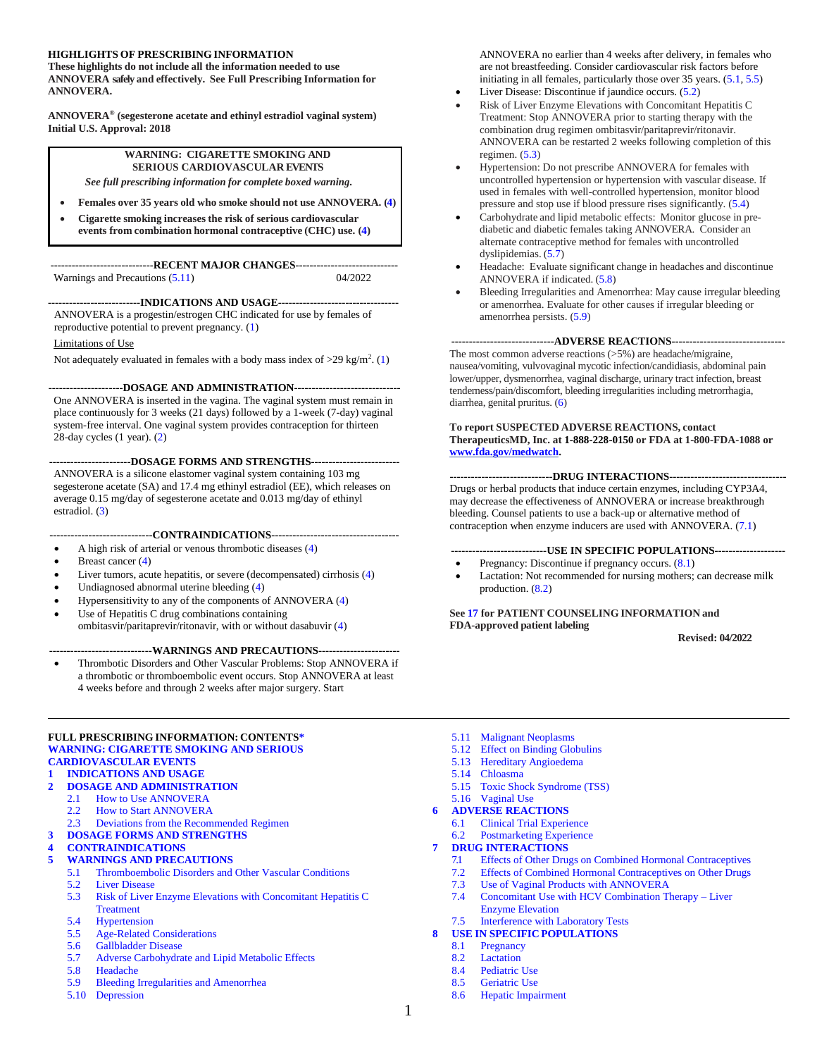#### **HIGHLIGHTS OF PRESCRIBING INFORMATION**

**These highlights do not include all the information needed to use ANNOVERA safely and effectively. See Full Prescribing Information for ANNOVERA.**

**ANNOVERA® (segesterone acetate and ethinyl estradiol vaginal system) Initial U.S. Approval: 2018**

#### **WARNING: CIGARETTE SMOKING AND SERIOUS CARDIOVASCULAR EVENTS**

*See full prescribing information for complete boxed warning.*

- **Females over 35 years old who smoke should not use ANNOVERA. [\(4\)](#page-5-0)**
- **Cigarette smoking increases the risk of serious cardiovascular events from combination hormonal contraceptive (CHC) use. [\(4\)](#page-5-0)**

**-----------------------------RECENT MAJOR CHANGES-----------------------------** Warnings and Precautions [\(5.11](#page-10-0)) 04/2022

**--------------------------INDICATIONS AND USAGE----------------------------------** ANNOVERA is a progestin/estrogen CHC indicated for use by females of reproductive potential to prevent pregnancy. [\(1\)](#page-2-0)

#### Limitations of Use

Not adequately evaluated in females with a body mass index of  $>29$  kg/m<sup>2</sup>. [\(1\)](#page-2-0)

**---------------------DOSAGE AND ADMINISTRATION------------------------------**

One ANNOVERA is inserted in the vagina. The vaginal system must remain in place continuously for 3 weeks (21 days) followed by a 1-week (7-day) vaginal system-free interval. One vaginal system provides contraception for thirteen 28-day cycles (1 year). [\(2\)](#page-2-1)

**-----------------------DOSAGE FORMS AND STRENGTHS-------------------------**

ANNOVERA is a silicone elastomer vaginal system containing 103 mg segesterone acetate (SA) and 17.4 mg ethinyl estradiol (EE), which releases on average 0.15 mg/day of segesterone acetate and 0.013 mg/day of ethinyl estradiol. [\(3\)](#page-4-0)

#### **-----------------------------CONTRAINDICATIONS------------------------------------**

- A high risk of arterial or venous thrombotic diseases [\(4\)](#page-5-0)
- Breast cancer [\(4\)](#page-5-0)
- Liver tumors, acute hepatitis, or severe (decompensated) cirrhosis [\(4\)](#page-5-0)
- Undiagnosed abnormal uterine bleeding [\(4\)](#page-5-0)
- Hypersensitivity to any of the components of ANNOVERA [\(4\)](#page-5-0)
- Use of Hepatitis C drug combinations containing ombitasvir/paritaprevir/ritonavir, with or without dasabuvir [\(4\)](#page-5-0)

#### **-----------------------------WARNINGS AND PRECAUTIONS-----------------------**

• Thrombotic Disorders and Other Vascular Problems: Stop ANNOVERA if a thrombotic or thromboembolic event occurs. Stop ANNOVERA at least 4 weeks before and through 2 weeks after major surgery. Start

#### **FULL PRESCRIBING INFORMATION: CONTENTS\* [WARNING: CIGARETTE SMOKING AND SERIOUS](#page-2-2) [CARDIOVASCULAR](#page-2-2) EVENTS**

### **1 [INDICATIONS AND USAGE](#page-2-0)**

- **2 [DOSAGE AND ADMINISTRATION](#page-2-1)**
	- 2.1 [How to Use ANNOVERA](#page-2-3)
	- 2.2 [How to Start ANNOVERA](#page-3-0)
	- 2.3 [Deviations from the Recommended Regimen](#page-4-1)
- **3 [DOSAGE FORMS AND STRENGTHS](#page-4-0)**
- **4 [CONTRAINDICATIONS](#page-5-0)**
- **5 [WARNINGS AND PRECAUTIONS](#page-6-1)**
	- 5.1 [Thromboembolic Disorders and Other Vascular Conditions](#page-6-0)
		- 5.2 [Liver Disease](#page-7-0)
		- 5.3 [Risk of Liver Enzyme Elevations with Concomitant Hepatitis C](#page-8-1)  **[Treatment](#page-8-1)**
		- 5.4 [Hypertension](#page-8-2)
		- 5.5 [Age-Related Considerations](#page-8-0)
		- 5.6 [Gallbladder Disease](#page-8-3)
		- 5.7 [Adverse Carbohydrate and Lipid Metabolic Effects](#page-9-0)
		- 5.8 [Headache](#page-9-1)
		- 5.9 [Bleeding Irregularities and Amenorrhea](#page-9-2)
	- 5.10 [Depression](#page-10-1)

ANNOVERA no earlier than 4 weeks after delivery, in females who are not breastfeeding. Consider cardiovascular risk factors before initiating in all females, particularly those over 35 years. [\(5.1,](#page-6-0) [5.5\)](#page-8-0)

- Liver Disease: Discontinue if jaundice occurs. [\(5.2\)](#page-7-0)
- Risk of Liver Enzyme Elevations with Concomitant Hepatitis C Treatment: Stop ANNOVERA prior to starting therapy with the combination drug regimen ombitasvir/paritaprevir/ritonavir. ANNOVERA can be restarted 2 weeks following completion of this regimen. [\(5.3\)](#page-8-1)
- Hypertension: Do not prescribe ANNOVERA for females with uncontrolled hypertension or hypertension with vascular disease. If used in females with well-controlled hypertension, monitor blood pressure and stop use if blood pressure rises significantly. [\(5.4\)](#page-8-2)
- Carbohydrate and lipid metabolic effects: Monitor glucose in prediabetic and diabetic females taking ANNOVERA. Consider an alternate contraceptive method for females with uncontrolled dyslipidemias. [\(5.7\)](#page-9-0)
- Headache: Evaluate significant change in headaches and discontinue ANNOVERA if indicated. [\(5.8\)](#page-9-1)
- Bleeding Irregularities and Amenorrhea: May cause irregular bleeding or amenorrhea. Evaluate for other causes if irregular bleeding or amenorrhea persists. [\(5.9\)](#page-9-2)

#### **-----------------------------ADVERSE REACTIONS--------------------------------**

The most common adverse reactions (>5%) are headache/migraine, nausea/vomiting, vulvovaginal mycotic infection/candidiasis, abdominal pain lower/upper, dysmenorrhea, vaginal discharge, urinary tract infection, breast tenderness/pain/discomfort, bleeding irregularities including metrorrhagia, diarrhea, genital pruritus. [\(6\)](#page-11-0)

#### **To report SUSPECTED ADVERSE REACTIONS, contact TherapeuticsMD, Inc. at 1-888-228-0150 or FDA at 1-800-FDA-1088 or [www.fda.gov/medwatch.](http://www.fda.gov/medwatch)**

#### **-----------------------------DRUG INTERACTIONS---------------------------------**

Drugs or herbal products that induce certain enzymes, including CYP3A4, may decrease the effectiveness of ANNOVERA or increase breakthrough bleeding. Counsel patients to use a back-up or alternative method of contraception when enzyme inducers are used with ANNOVERA. [\(7.1\)](#page-14-0)

#### **---------------------------USE IN SPECIFIC POPULATIONS--------------------**

- Pregnancy: Discontinue if pregnancy occurs.  $(8.1)$
- Lactation: Not recommended for nursing mothers; can decrease milk production. [\(8.2\)](#page-16-1)

#### **See [17](#page-24-0) for PATIENT COUNSELING INFORMATION and FDA-approved patient labeling**

**Revised: 04/2022**

- 5.11 [Malignant Neoplasms](#page-10-0)
- 5.12 [Effect on Binding Globulins](#page-10-2)
- 5.13 [Hereditary Angioedema](#page-10-3)
- 5.14 [Chloasma](#page-11-1)
- 5.15 [Toxic Shock Syndrome \(TSS\)](#page-11-2)
- 5.16 [Vaginal Use](#page-11-3)
- **6 [ADVERSE REACTIONS](#page-11-0)**
	- 6.1 [Clinical Trial Experience](#page-11-4)<br>6.2 Postmarketing Experience [Postmarketing Experience](#page-13-0)

#### **7 [DRUG INTERACTIONS](#page-13-1)**

- 7.1 [Effects of Other Drugs on Combined Hormonal Contraceptives](#page-14-0)
- 7.2 [Effects of Combined Hormonal Contraceptives on Other Drugs](#page-15-0)
- 7.3 [Use of Vaginal Products with ANNOVERA](#page-15-1)
- 7.4 [Concomitant Use with HCV Combination Therapy –](#page-16-2) Liver [Enzyme Elevation](#page-16-2)

#### 7.5 [Interference with Laboratory Tests](#page-16-3) **8 USE IN SPECIFIC [POPULATIONS](#page-16-4)**

- 8.1 [Pregnancy](#page-16-0)
- 8.2 [Lactation](#page-16-1)
- 8.4 [Pediatric Use](#page-17-0)
- 8.5 [Geriatric Use](#page-17-1)
- 8.6 [Hepatic Impairment](#page-17-2)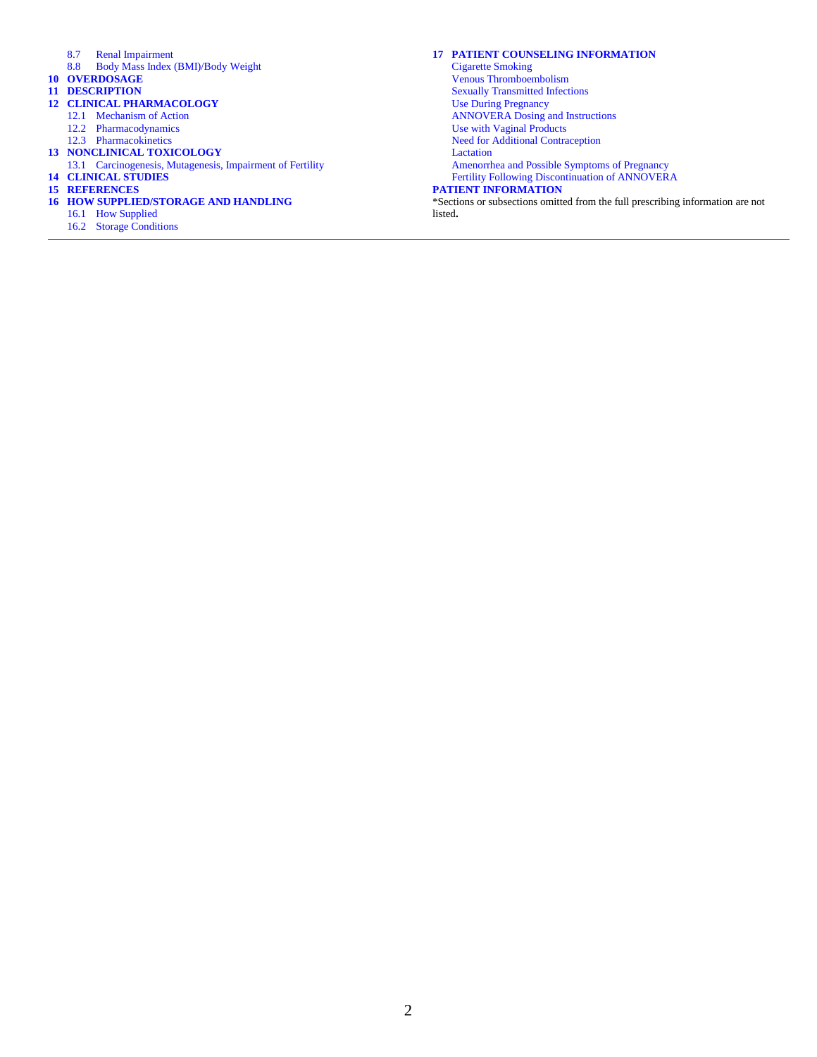- 8.7 [Renal Impairment](#page-17-3)
- 8.8 [Body Mass Index \(BMI\)/Body Weight](#page-17-4)
- **10 [OVERDOSAGE](#page-18-0)**
- **11 [DESCRIPTION](#page-18-1)**
- **12 [CLINICAL PHARMACOLOGY](#page-19-0)**
	- 12.1 [Mechanism of Action](#page-19-1)
		- 12.2 [Pharmacodynamics](#page-19-2)
	- 12.3 [Pharmacokinetics](#page-20-0)
- **13 [NONCLINICAL TOXICOLOGY](#page-22-0)** 13.1 [Carcinogenesis, Mutagenesis, Impairment of Fertility](#page-22-1)
- **14 [CLINICAL STUDIES](#page-23-0)**
- **15 [REFERENCES](#page-23-1)**
- **16 [HOW SUPPLIED/STORAGE AND HANDLING](#page-23-2)**
	- 16.1 [How Supplied](#page-23-3)
	- 16.2 [Storage Conditions](#page-24-1)

#### **17 [PATIENT COUNSELING INFORMATION](#page-24-0)**

[Cigarette Smoking](#page-24-2) [Venous Thromboembolism](#page-24-3) [Sexually Transmitted Infections](#page-24-4) [Use During Pregnancy](#page-24-5) [ANNOVERA Dosing and Instructions](#page-24-6) [Use with Vaginal Products](#page-25-0) [Need for Additional Contraception](#page-25-1) **[Lactation](#page-25-2)** [Amenorrhea and Possible Symptoms of Pregnancy](#page-25-3) [Fertility Following Discontinuation of ANNOVERA](#page-25-4)

#### **[PATIENT INFORMATION](#page-26-0)**

\*Sections or subsections omitted from the full prescribing information are not listed**.**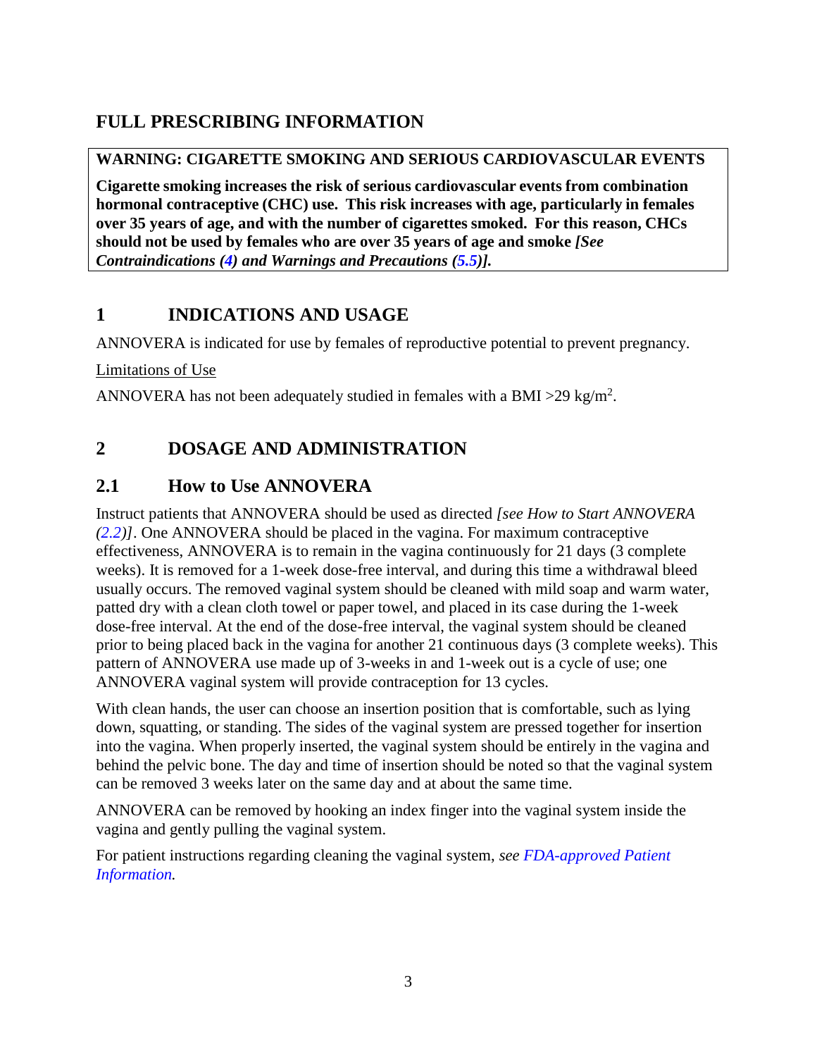# **FULL PRESCRIBING INFORMATION**

### <span id="page-2-2"></span>**WARNING: CIGARETTE SMOKING AND SERIOUS CARDIOVASCULAR EVENTS**

**Cigarette smoking increases the risk of serious cardiovascular events from combination hormonal contraceptive (CHC) use. This risk increases with age, particularly in females over 35 years of age, and with the number of cigarettes smoked. For this reason, CHCs should not be used by females who are over 35 years of age and smoke** *[See Contraindications [\(4\)](#page-5-0) and Warnings and Precautions [\(5.5\)](#page-8-0)].*

## <span id="page-2-0"></span>**1 INDICATIONS AND USAGE**

ANNOVERA is indicated for use by females of reproductive potential to prevent pregnancy.

Limitations of Use

ANNOVERA has not been adequately studied in females with a BMI > 29 kg/m<sup>2</sup>.

# <span id="page-2-1"></span>**2 DOSAGE AND ADMINISTRATION**

## <span id="page-2-3"></span>**2.1 How to Use ANNOVERA**

Instruct patients that ANNOVERA should be used as directed *[see How to Start ANNOVERA [\(2.2\)](#page-3-0)]*. One ANNOVERA should be placed in the vagina. For maximum contraceptive effectiveness, ANNOVERA is to remain in the vagina continuously for 21 days (3 complete weeks). It is removed for a 1-week dose-free interval, and during this time a withdrawal bleed usually occurs. The removed vaginal system should be cleaned with mild soap and warm water, patted dry with a clean cloth towel or paper towel, and placed in its case during the 1-week dose-free interval. At the end of the dose-free interval, the vaginal system should be cleaned prior to being placed back in the vagina for another 21 continuous days (3 complete weeks). This pattern of ANNOVERA use made up of 3-weeks in and 1-week out is a cycle of use; one ANNOVERA vaginal system will provide contraception for 13 cycles.

With clean hands, the user can choose an insertion position that is comfortable, such as lying down, squatting, or standing. The sides of the vaginal system are pressed together for insertion into the vagina. When properly inserted, the vaginal system should be entirely in the vagina and behind the pelvic bone. The day and time of insertion should be noted so that the vaginal system can be removed 3 weeks later on the same day and at about the same time.

ANNOVERA can be removed by hooking an index finger into the vaginal system inside the vagina and gently pulling the vaginal system.

For patient instructions regarding cleaning the vaginal system, *see [FDA-approved Patient](#page-26-0)  [Information.](#page-26-0)*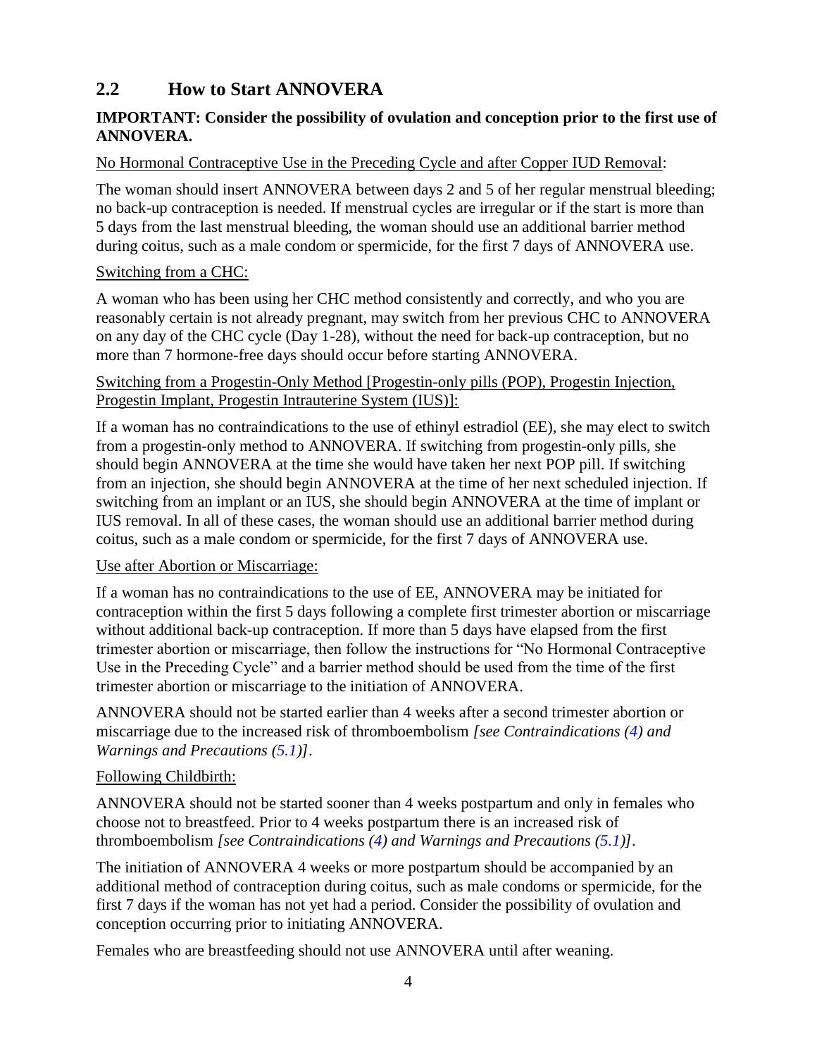## <span id="page-3-0"></span>**2.2 How to Start ANNOVERA**

### **IMPORTANT: Consider the possibility of ovulation and conception prior to the first use of ANNOVERA.**

#### No Hormonal Contraceptive Use in the Preceding Cycle and after Copper IUD Removal:

The woman should insert ANNOVERA between days 2 and 5 of her regular menstrual bleeding; no back-up contraception is needed. If menstrual cycles are irregular or if the start is more than 5 days from the last menstrual bleeding, the woman should use an additional barrier method during coitus, such as a male condom or spermicide, for the first 7 days of ANNOVERA use.

### Switching from a CHC:

A woman who has been using her CHC method consistently and correctly, and who you are reasonably certain is not already pregnant, may switch from her previous CHC to ANNOVERA on any day of the CHC cycle (Day 1-28), without the need for back-up contraception, but no more than 7 hormone-free days should occur before starting ANNOVERA.

#### Switching from a Progestin-Only Method [Progestin-only pills (POP), Progestin Injection, Progestin Implant, Progestin Intrauterine System (IUS)]:

If a woman has no contraindications to the use of ethinyl estradiol (EE), she may elect to switch from a progestin-only method to ANNOVERA. If switching from progestin-only pills, she should begin ANNOVERA at the time she would have taken her next POP pill. If switching from an injection, she should begin ANNOVERA at the time of her next scheduled injection. If switching from an implant or an IUS, she should begin ANNOVERA at the time of implant or IUS removal. In all of these cases, the woman should use an additional barrier method during coitus, such as a male condom or spermicide, for the first 7 days of ANNOVERA use.

#### Use after Abortion or Miscarriage:

If a woman has no contraindications to the use of EE, ANNOVERA may be initiated for contraception within the first 5 days following a complete first trimester abortion or miscarriage without additional back-up contraception. If more than 5 days have elapsed from the first trimester abortion or miscarriage, then follow the instructions for "No Hormonal Contraceptive Use in the Preceding Cycle" and a barrier method should be used from the time of the first trimester abortion or miscarriage to the initiation of ANNOVERA.

ANNOVERA should not be started earlier than 4 weeks after a second trimester abortion or miscarriage due to the increased risk of thromboembolism *[see Contraindications [\(4\)](#page-5-0) and Warnings and Precautions [\(5.1\)](#page-6-0)]*.

#### Following Childbirth:

ANNOVERA should not be started sooner than 4 weeks postpartum and only in females who choose not to breastfeed. Prior to 4 weeks postpartum there is an increased risk of thromboembolism *[see Contraindications [\(4\)](#page-5-0) and Warnings and Precautions [\(5.1\)](#page-6-0)]*.

The initiation of ANNOVERA 4 weeks or more postpartum should be accompanied by an additional method of contraception during coitus, such as male condoms or spermicide, for the first 7 days if the woman has not yet had a period. Consider the possibility of ovulation and conception occurring prior to initiating ANNOVERA.

Females who are breastfeeding should not use ANNOVERA until after weaning.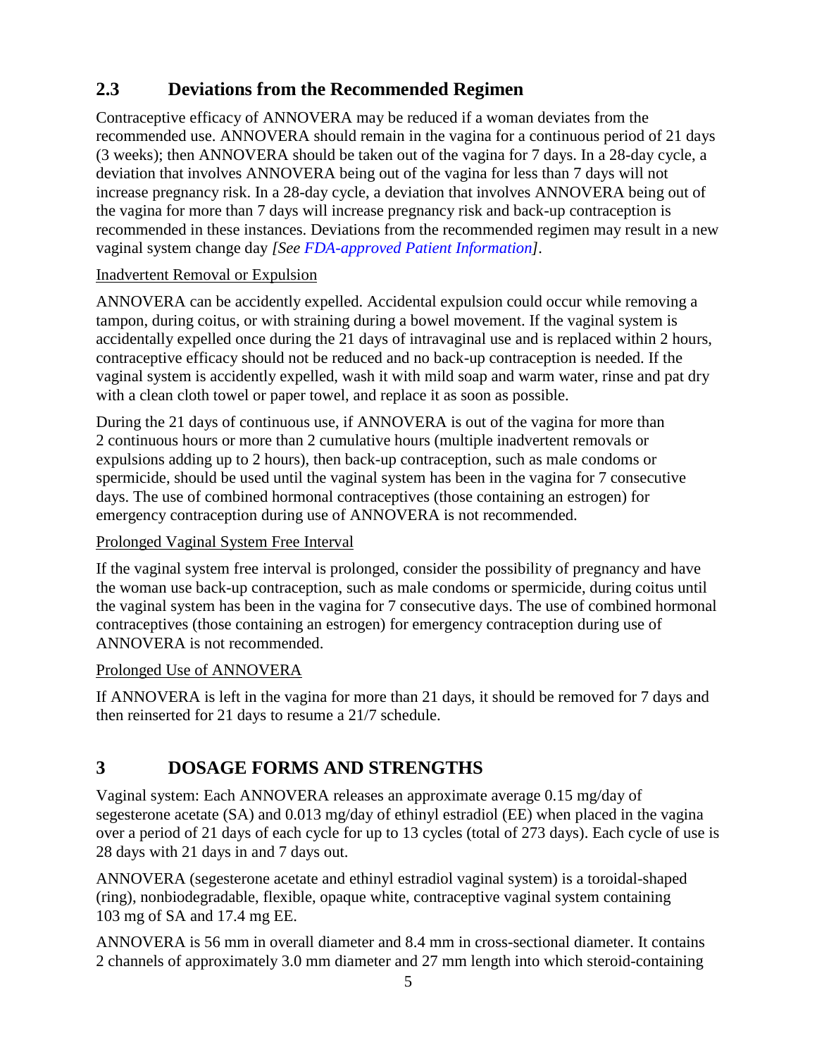# <span id="page-4-1"></span>**2.3 Deviations from the Recommended Regimen**

Contraceptive efficacy of ANNOVERA may be reduced if a woman deviates from the recommended use. ANNOVERA should remain in the vagina for a continuous period of 21 days (3 weeks); then ANNOVERA should be taken out of the vagina for 7 days. In a 28-day cycle, a deviation that involves ANNOVERA being out of the vagina for less than 7 days will not increase pregnancy risk. In a 28-day cycle, a deviation that involves ANNOVERA being out of the vagina for more than 7 days will increase pregnancy risk and back-up contraception is recommended in these instances. Deviations from the recommended regimen may result in a new vaginal system change day *[See [FDA-approved Patient Information\]](#page-26-0).*

### Inadvertent Removal or Expulsion

ANNOVERA can be accidently expelled. Accidental expulsion could occur while removing a tampon, during coitus, or with straining during a bowel movement. If the vaginal system is accidentally expelled once during the 21 days of intravaginal use and is replaced within 2 hours, contraceptive efficacy should not be reduced and no back-up contraception is needed. If the vaginal system is accidently expelled, wash it with mild soap and warm water, rinse and pat dry with a clean cloth towel or paper towel, and replace it as soon as possible.

During the 21 days of continuous use, if ANNOVERA is out of the vagina for more than 2 continuous hours or more than 2 cumulative hours (multiple inadvertent removals or expulsions adding up to 2 hours), then back-up contraception, such as male condoms or spermicide, should be used until the vaginal system has been in the vagina for 7 consecutive days. The use of combined hormonal contraceptives (those containing an estrogen) for emergency contraception during use of ANNOVERA is not recommended.

### Prolonged Vaginal System Free Interval

If the vaginal system free interval is prolonged, consider the possibility of pregnancy and have the woman use back-up contraception, such as male condoms or spermicide, during coitus until the vaginal system has been in the vagina for 7 consecutive days. The use of combined hormonal contraceptives (those containing an estrogen) for emergency contraception during use of ANNOVERA is not recommended.

### Prolonged Use of ANNOVERA

If ANNOVERA is left in the vagina for more than 21 days, it should be removed for 7 days and then reinserted for 21 days to resume a 21/7 schedule.

# <span id="page-4-0"></span>**3 DOSAGE FORMS AND STRENGTHS**

Vaginal system: Each ANNOVERA releases an approximate average 0.15 mg/day of segesterone acetate (SA) and 0.013 mg/day of ethinyl estradiol (EE) when placed in the vagina over a period of 21 days of each cycle for up to 13 cycles (total of 273 days). Each cycle of use is 28 days with 21 days in and 7 days out.

ANNOVERA (segesterone acetate and ethinyl estradiol vaginal system) is a toroidal-shaped (ring), nonbiodegradable, flexible, opaque white, contraceptive vaginal system containing 103 mg of SA and 17.4 mg EE.

ANNOVERA is 56 mm in overall diameter and 8.4 mm in cross-sectional diameter. It contains 2 channels of approximately 3.0 mm diameter and 27 mm length into which steroid-containing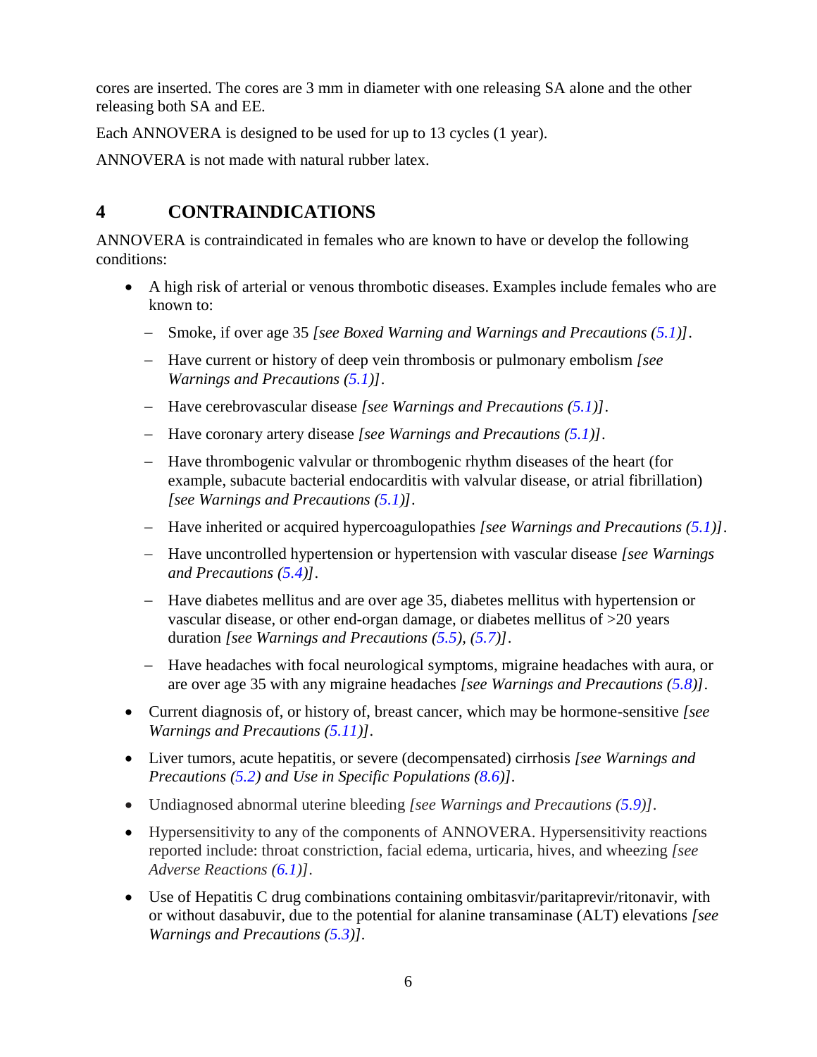cores are inserted. The cores are 3 mm in diameter with one releasing SA alone and the other releasing both SA and EE.

Each ANNOVERA is designed to be used for up to 13 cycles (1 year).

ANNOVERA is not made with natural rubber latex.

# <span id="page-5-0"></span>**4 CONTRAINDICATIONS**

ANNOVERA is contraindicated in females who are known to have or develop the following conditions:

- A high risk of arterial or venous thrombotic diseases. Examples include females who are known to:
	- − Smoke, if over age 35 *[see Boxed Warning and Warnings and Precautions [\(5.1\)](#page-6-0)]*.
	- − Have current or history of deep vein thrombosis or pulmonary embolism *[see Warnings and Precautions [\(5.1\)](#page-6-0)]*.
	- − Have cerebrovascular disease *[see Warnings and Precautions [\(5.1\)](#page-6-0)]*.
	- − Have coronary artery disease *[see Warnings and Precautions [\(5.1\)](#page-6-0)]*.
	- − Have thrombogenic valvular or thrombogenic rhythm diseases of the heart (for example, subacute bacterial endocarditis with valvular disease, or atrial fibrillation) *[see Warnings and Precautions [\(5.1\)](#page-6-0)]*.
	- − Have inherited or acquired hypercoagulopathies *[see Warnings and Precautions [\(5.1\)](#page-6-0)]*.
	- − Have uncontrolled hypertension or hypertension with vascular disease *[see Warnings and Precautions [\(5.4\)](#page-8-2)]*.
	- − Have diabetes mellitus and are over age 35, diabetes mellitus with hypertension or vascular disease, or other end-organ damage, or diabetes mellitus of >20 years duration *[see Warnings and Precautions [\(5.5\)](#page-8-0), [\(5.7\)](#page-9-0)]*.
	- − Have headaches with focal neurological symptoms, migraine headaches with aura, or are over age 35 with any migraine headaches *[see Warnings and Precautions [\(5.8\)](#page-9-1)]*.
- Current diagnosis of, or history of, breast cancer, which may be hormone-sensitive *[see Warnings and Precautions [\(5.11\)](#page-10-0)]*.
- Liver tumors, acute hepatitis, or severe (decompensated) cirrhosis *[see Warnings and Precautions [\(5.2\)](#page-7-0) and Use in Specific Populations [\(8.6\)](#page-17-2)].*
- Undiagnosed abnormal uterine bleeding *[see Warnings and Precautions [\(5.9\)](#page-9-2)]*.
- Hypersensitivity to any of the components of ANNOVERA. Hypersensitivity reactions reported include: throat constriction, facial edema, urticaria, hives, and wheezing *[see Adverse Reactions [\(6.1\)](#page-11-4)]*.
- Use of Hepatitis C drug combinations containing ombitasvir/paritaprevir/ritonavir, with or without dasabuvir, due to the potential for alanine transaminase (ALT) elevations *[see Warnings and Precautions [\(5.3\)](#page-8-1)].*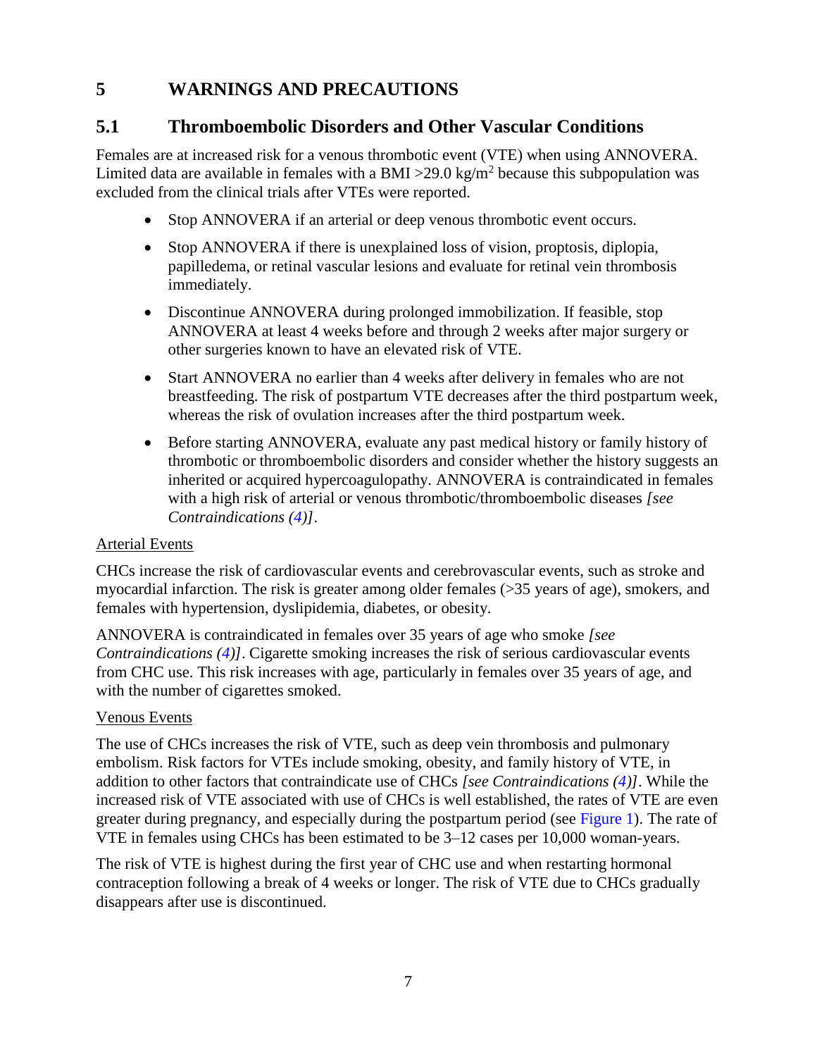## <span id="page-6-1"></span>**5 WARNINGS AND PRECAUTIONS**

## <span id="page-6-0"></span>**5.1 Thromboembolic Disorders and Other Vascular Conditions**

Females are at increased risk for a venous thrombotic event (VTE) when using ANNOVERA. Limited data are available in females with a BMI > 29.0 kg/m<sup>2</sup> because this subpopulation was excluded from the clinical trials after VTEs were reported.

- Stop ANNOVERA if an arterial or deep venous thrombotic event occurs.
- Stop ANNOVERA if there is unexplained loss of vision, proptosis, diplopia, papilledema, or retinal vascular lesions and evaluate for retinal vein thrombosis immediately.
- Discontinue ANNOVERA during prolonged immobilization. If feasible, stop ANNOVERA at least 4 weeks before and through 2 weeks after major surgery or other surgeries known to have an elevated risk of VTE.
- Start ANNOVERA no earlier than 4 weeks after delivery in females who are not breastfeeding. The risk of postpartum VTE decreases after the third postpartum week, whereas the risk of ovulation increases after the third postpartum week.
- Before starting ANNOVERA, evaluate any past medical history or family history of thrombotic or thromboembolic disorders and consider whether the history suggests an inherited or acquired hypercoagulopathy. ANNOVERA is contraindicated in females with a high risk of arterial or venous thrombotic/thromboembolic diseases *[see Contraindications [\(4\)](#page-5-0)]*.

#### Arterial Events

CHCs increase the risk of cardiovascular events and cerebrovascular events, such as stroke and myocardial infarction. The risk is greater among older females (>35 years of age), smokers, and females with hypertension, dyslipidemia, diabetes, or obesity.

ANNOVERA is contraindicated in females over 35 years of age who smoke *[see Contraindications [\(4\)](#page-5-0)]*. Cigarette smoking increases the risk of serious cardiovascular events from CHC use. This risk increases with age, particularly in females over 35 years of age, and with the number of cigarettes smoked.

#### Venous Events

The use of CHCs increases the risk of VTE, such as deep vein thrombosis and pulmonary embolism. Risk factors for VTEs include smoking, obesity, and family history of VTE, in addition to other factors that contraindicate use of CHCs *[see Contraindications [\(4\)](#page-5-0)]*. While the increased risk of VTE associated with use of CHCs is well established, the rates of VTE are even greater during pregnancy, and especially during the postpartum period (see [Figure 1](#page-7-1)). The rate of VTE in females using CHCs has been estimated to be 3–12 cases per 10,000 woman-years.

The risk of VTE is highest during the first year of CHC use and when restarting hormonal contraception following a break of 4 weeks or longer. The risk of VTE due to CHCs gradually disappears after use is discontinued.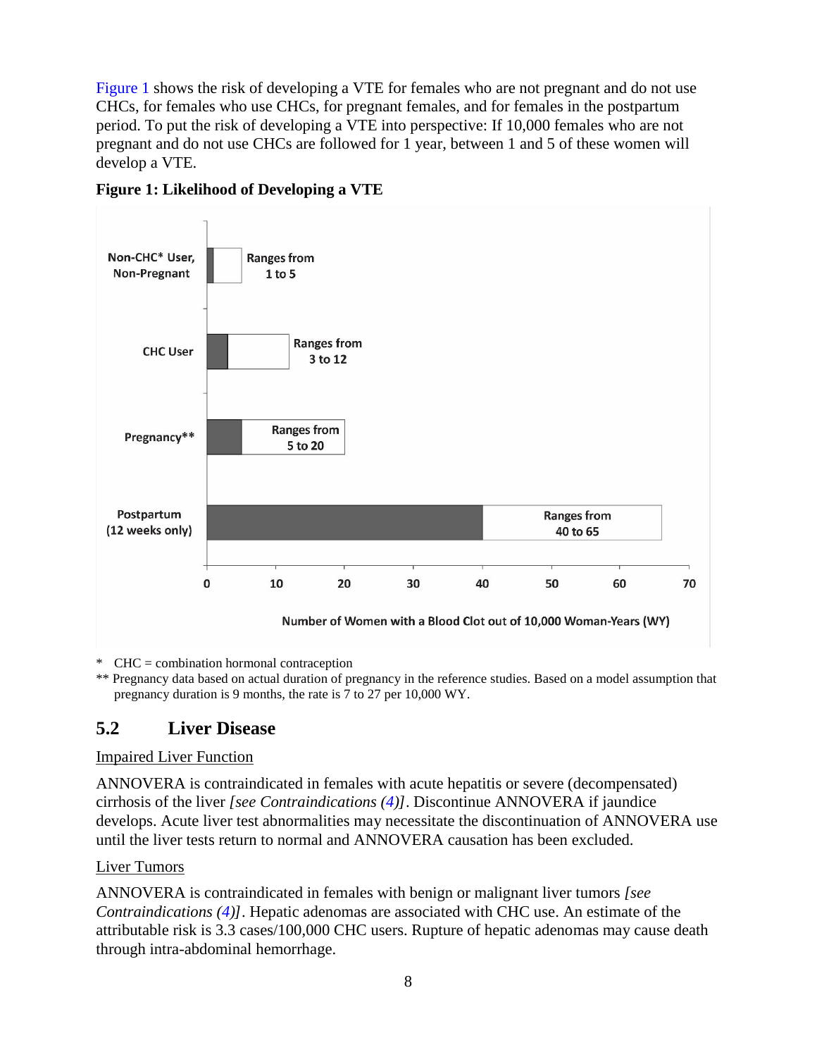[Figure 1](#page-7-1) shows the risk of developing a VTE for females who are not pregnant and do not use CHCs, for females who use CHCs, for pregnant females, and for females in the postpartum period. To put the risk of developing a VTE into perspective: If 10,000 females who are not pregnant and do not use CHCs are followed for 1 year, between 1 and 5 of these women will develop a VTE.



<span id="page-7-1"></span>**Figure 1: Likelihood of Developing a VTE**

\* CHC = combination hormonal contraception

\*\* Pregnancy data based on actual duration of pregnancy in the reference studies. Based on a model assumption that pregnancy duration is 9 months, the rate is 7 to 27 per 10,000 WY.

# <span id="page-7-0"></span>**5.2 Liver Disease**

#### Impaired Liver Function

ANNOVERA is contraindicated in females with acute hepatitis or severe (decompensated) cirrhosis of the liver *[see Contraindications [\(4\)](#page-5-0)]*. Discontinue ANNOVERA if jaundice develops. Acute liver test abnormalities may necessitate the discontinuation of ANNOVERA use until the liver tests return to normal and ANNOVERA causation has been excluded.

#### Liver Tumors

ANNOVERA is contraindicated in females with benign or malignant liver tumors *[see Contraindications [\(4\)](#page-5-0)]*. Hepatic adenomas are associated with CHC use. An estimate of the attributable risk is 3.3 cases/100,000 CHC users. Rupture of hepatic adenomas may cause death through intra-abdominal hemorrhage.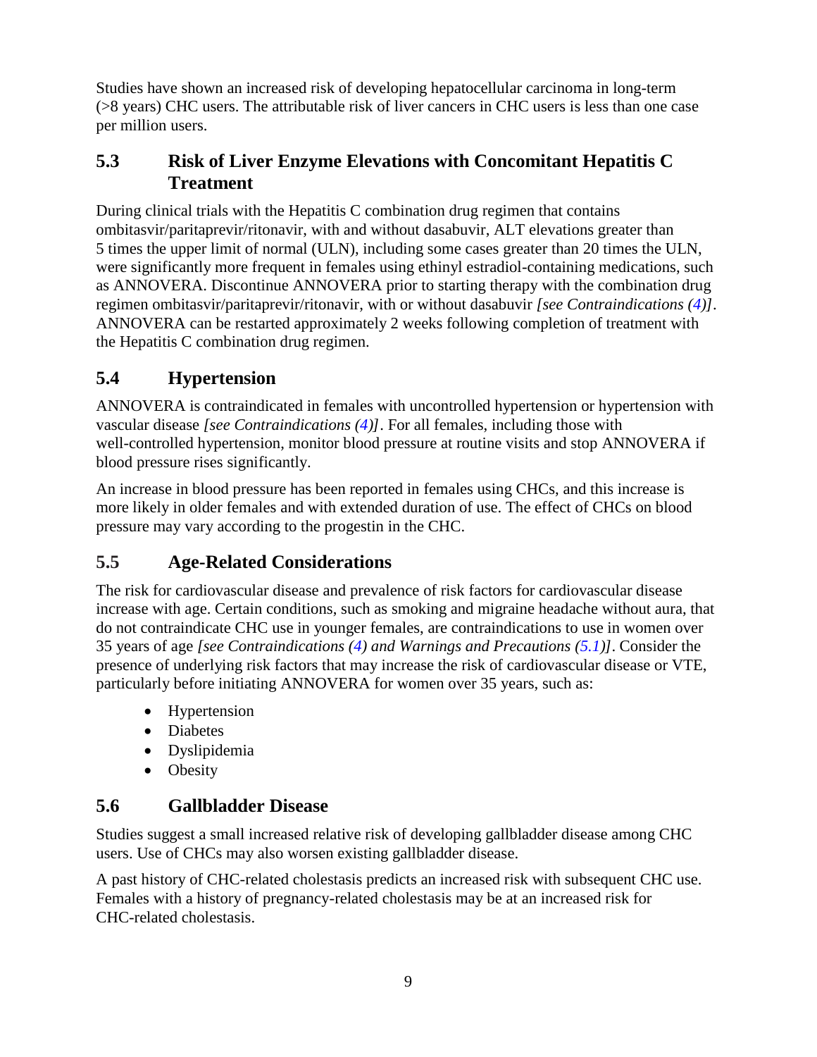Studies have shown an increased risk of developing hepatocellular carcinoma in long-term (>8 years) CHC users. The attributable risk of liver cancers in CHC users is less than one case per million users.

## <span id="page-8-1"></span>**5.3 Risk of Liver Enzyme Elevations with Concomitant Hepatitis C Treatment**

During clinical trials with the Hepatitis C combination drug regimen that contains ombitasvir/paritaprevir/ritonavir, with and without dasabuvir, ALT elevations greater than 5 times the upper limit of normal (ULN), including some cases greater than 20 times the ULN, were significantly more frequent in females using ethinyl estradiol-containing medications, such as ANNOVERA. Discontinue ANNOVERA prior to starting therapy with the combination drug regimen ombitasvir/paritaprevir/ritonavir, with or without dasabuvir *[see Contraindications [\(4\)](#page-5-0)]*. ANNOVERA can be restarted approximately 2 weeks following completion of treatment with the Hepatitis C combination drug regimen.

# <span id="page-8-2"></span>**5.4 Hypertension**

ANNOVERA is contraindicated in females with uncontrolled hypertension or hypertension with vascular disease *[see Contraindications [\(4\)](#page-5-0)]*. For all females, including those with well-controlled hypertension, monitor blood pressure at routine visits and stop ANNOVERA if blood pressure rises significantly.

An increase in blood pressure has been reported in females using CHCs, and this increase is more likely in older females and with extended duration of use. The effect of CHCs on blood pressure may vary according to the progestin in the CHC.

## <span id="page-8-0"></span>**5.5 Age-Related Considerations**

The risk for cardiovascular disease and prevalence of risk factors for cardiovascular disease increase with age. Certain conditions, such as smoking and migraine headache without aura, that do not contraindicate CHC use in younger females, are contraindications to use in women over 35 years of age *[see Contraindications [\(4\)](#page-5-0) and Warnings and Precautions [\(5.1\)](#page-6-0)]*. Consider the presence of underlying risk factors that may increase the risk of cardiovascular disease or VTE, particularly before initiating ANNOVERA for women over 35 years, such as:

- Hypertension
- Diabetes
- Dyslipidemia
- Obesity

## <span id="page-8-3"></span>**5.6 Gallbladder Disease**

Studies suggest a small increased relative risk of developing gallbladder disease among CHC users. Use of CHCs may also worsen existing gallbladder disease.

A past history of CHC-related cholestasis predicts an increased risk with subsequent CHC use. Females with a history of pregnancy-related cholestasis may be at an increased risk for CHC-related cholestasis.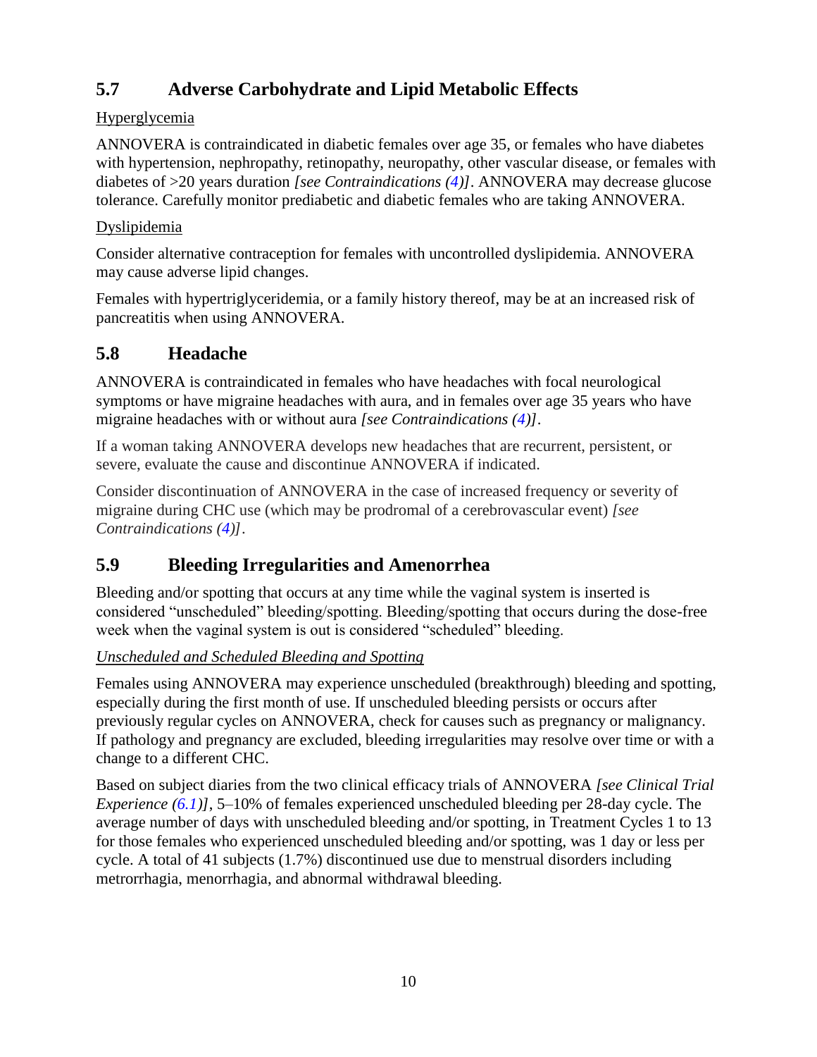# <span id="page-9-0"></span>**5.7 Adverse Carbohydrate and Lipid Metabolic Effects**

### **Hyperglycemia**

ANNOVERA is contraindicated in diabetic females over age 35, or females who have diabetes with hypertension, nephropathy, retinopathy, neuropathy, other vascular disease, or females with diabetes of >20 years duration *[see Contraindications [\(4\)](#page-5-0)]*. ANNOVERA may decrease glucose tolerance. Carefully monitor prediabetic and diabetic females who are taking ANNOVERA.

### Dyslipidemia

Consider alternative contraception for females with uncontrolled dyslipidemia. ANNOVERA may cause adverse lipid changes.

Females with hypertriglyceridemia, or a family history thereof, may be at an increased risk of pancreatitis when using ANNOVERA.

# <span id="page-9-1"></span>**5.8 Headache**

ANNOVERA is contraindicated in females who have headaches with focal neurological symptoms or have migraine headaches with aura, and in females over age 35 years who have migraine headaches with or without aura *[see Contraindications [\(4\)](#page-5-0)]*.

If a woman taking ANNOVERA develops new headaches that are recurrent, persistent, or severe, evaluate the cause and discontinue ANNOVERA if indicated.

Consider discontinuation of ANNOVERA in the case of increased frequency or severity of migraine during CHC use (which may be prodromal of a cerebrovascular event) *[see Contraindications [\(4\)](#page-5-0)]*.

# <span id="page-9-2"></span>**5.9 Bleeding Irregularities and Amenorrhea**

Bleeding and/or spotting that occurs at any time while the vaginal system is inserted is considered "unscheduled" bleeding/spotting. Bleeding/spotting that occurs during the dose-free week when the vaginal system is out is considered "scheduled" bleeding.

### *Unscheduled and Scheduled Bleeding and Spotting*

Females using ANNOVERA may experience unscheduled (breakthrough) bleeding and spotting, especially during the first month of use. If unscheduled bleeding persists or occurs after previously regular cycles on ANNOVERA, check for causes such as pregnancy or malignancy. If pathology and pregnancy are excluded, bleeding irregularities may resolve over time or with a change to a different CHC.

Based on subject diaries from the two clinical efficacy trials of ANNOVERA *[see Clinical Trial Experience [\(6.1\)](#page-11-4)]*, 5–10% of females experienced unscheduled bleeding per 28-day cycle. The average number of days with unscheduled bleeding and/or spotting, in Treatment Cycles 1 to 13 for those females who experienced unscheduled bleeding and/or spotting, was 1 day or less per cycle. A total of 41 subjects (1.7%) discontinued use due to menstrual disorders including metrorrhagia, menorrhagia, and abnormal withdrawal bleeding.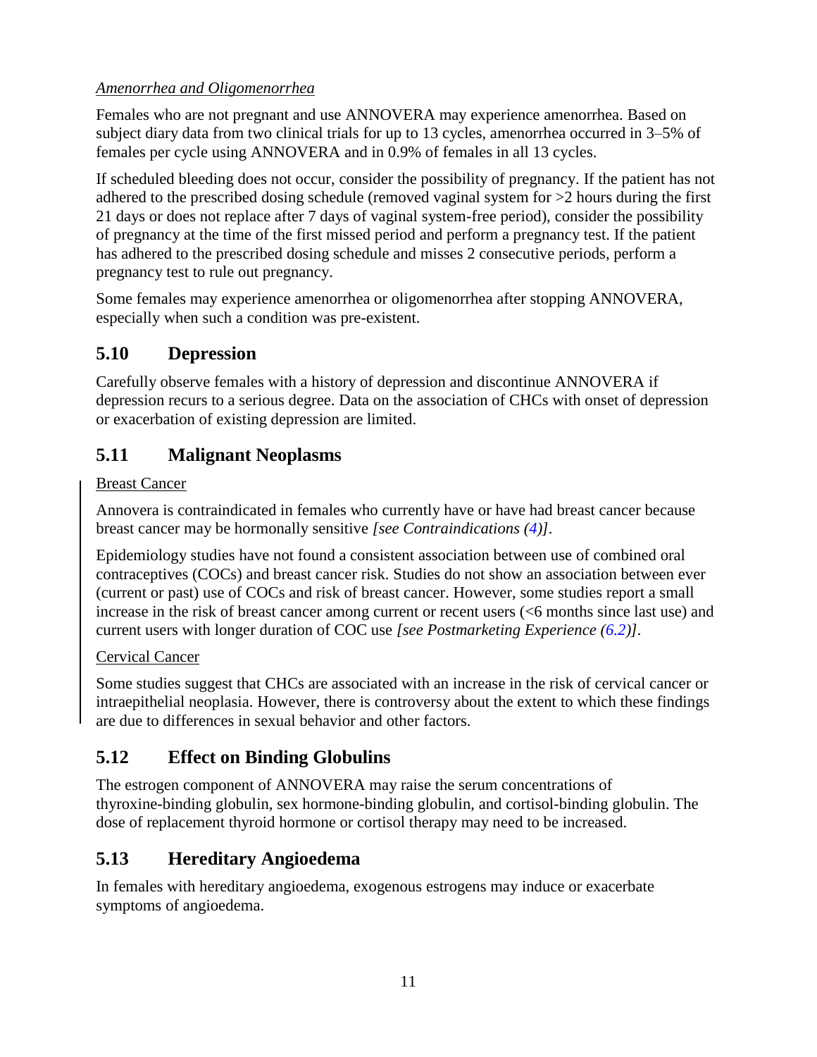### *Amenorrhea and Oligomenorrhea*

Females who are not pregnant and use ANNOVERA may experience amenorrhea. Based on subject diary data from two clinical trials for up to 13 cycles, amenorrhea occurred in 3–5% of females per cycle using ANNOVERA and in 0.9% of females in all 13 cycles.

If scheduled bleeding does not occur, consider the possibility of pregnancy. If the patient has not adhered to the prescribed dosing schedule (removed vaginal system for >2 hours during the first 21 days or does not replace after 7 days of vaginal system-free period), consider the possibility of pregnancy at the time of the first missed period and perform a pregnancy test. If the patient has adhered to the prescribed dosing schedule and misses 2 consecutive periods, perform a pregnancy test to rule out pregnancy.

Some females may experience amenorrhea or oligomenorrhea after stopping ANNOVERA, especially when such a condition was pre-existent.

## <span id="page-10-1"></span>**5.10 Depression**

Carefully observe females with a history of depression and discontinue ANNOVERA if depression recurs to a serious degree. Data on the association of CHCs with onset of depression or exacerbation of existing depression are limited.

## <span id="page-10-0"></span>**5.11 Malignant Neoplasms**

### Breast Cancer

Annovera is contraindicated in females who currently have or have had breast cancer because breast cancer may be hormonally sensitive *[see Contraindications [\(4\)](#page-5-0)].*

Epidemiology studies have not found a consistent association between use of combined oral contraceptives (COCs) and breast cancer risk. Studies do not show an association between ever (current or past) use of COCs and risk of breast cancer. However, some studies report a small increase in the risk of breast cancer among current or recent users (<6 months since last use) and current users with longer duration of COC use *[see Postmarketing Experience [\(6.2\)](#page-13-0)].*

### Cervical Cancer

Some studies suggest that CHCs are associated with an increase in the risk of cervical cancer or intraepithelial neoplasia. However, there is controversy about the extent to which these findings are due to differences in sexual behavior and other factors.

## <span id="page-10-2"></span>**5.12 Effect on Binding Globulins**

The estrogen component of ANNOVERA may raise the serum concentrations of thyroxine-binding globulin, sex hormone-binding globulin, and cortisol-binding globulin. The dose of replacement thyroid hormone or cortisol therapy may need to be increased.

## <span id="page-10-3"></span>**5.13 Hereditary Angioedema**

In females with hereditary angioedema, exogenous estrogens may induce or exacerbate symptoms of angioedema.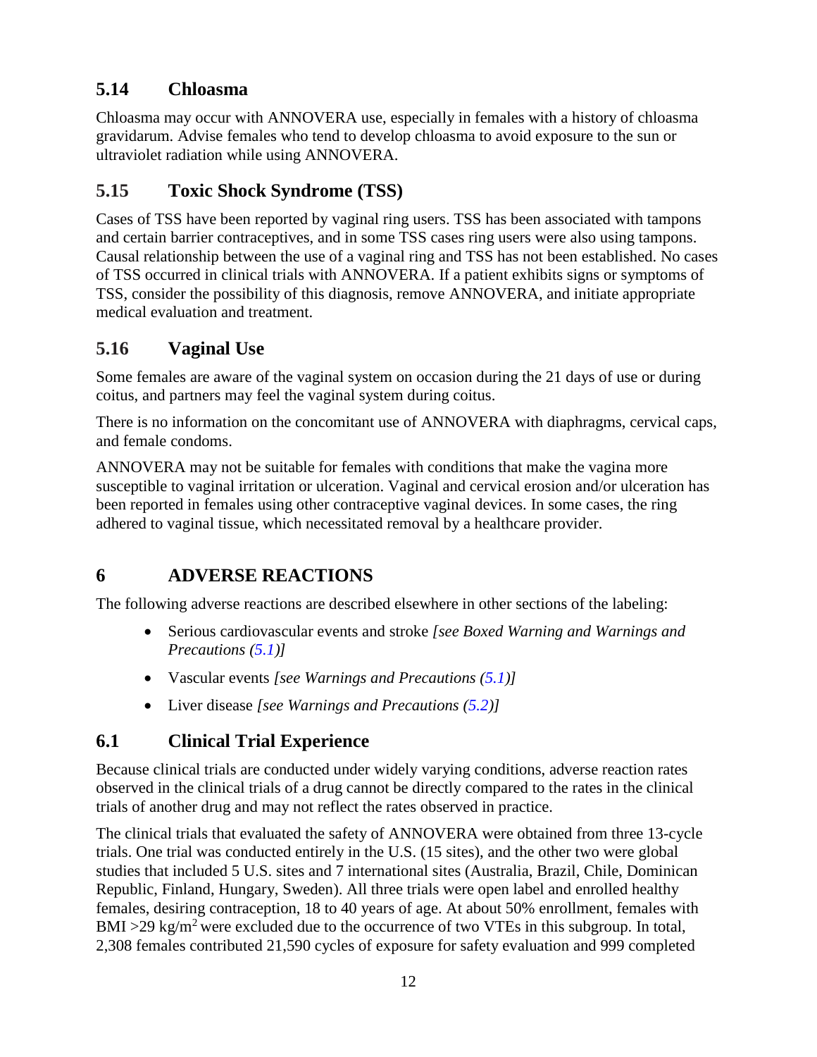# <span id="page-11-1"></span>**5.14 Chloasma**

Chloasma may occur with ANNOVERA use, especially in females with a history of chloasma gravidarum. Advise females who tend to develop chloasma to avoid exposure to the sun or ultraviolet radiation while using ANNOVERA.

# <span id="page-11-2"></span>**5.15 Toxic Shock Syndrome (TSS)**

Cases of TSS have been reported by vaginal ring users. TSS has been associated with tampons and certain barrier contraceptives, and in some TSS cases ring users were also using tampons. Causal relationship between the use of a vaginal ring and TSS has not been established. No cases of TSS occurred in clinical trials with ANNOVERA. If a patient exhibits signs or symptoms of TSS, consider the possibility of this diagnosis, remove ANNOVERA, and initiate appropriate medical evaluation and treatment.

## <span id="page-11-3"></span>**5.16 Vaginal Use**

Some females are aware of the vaginal system on occasion during the 21 days of use or during coitus, and partners may feel the vaginal system during coitus.

There is no information on the concomitant use of ANNOVERA with diaphragms, cervical caps, and female condoms.

ANNOVERA may not be suitable for females with conditions that make the vagina more susceptible to vaginal irritation or ulceration. Vaginal and cervical erosion and/or ulceration has been reported in females using other contraceptive vaginal devices. In some cases, the ring adhered to vaginal tissue, which necessitated removal by a healthcare provider.

# <span id="page-11-0"></span>**6 ADVERSE REACTIONS**

The following adverse reactions are described elsewhere in other sections of the labeling:

- Serious cardiovascular events and stroke *[see Boxed Warning and Warnings and Precautions [\(5.1\)](#page-6-0)]*
- Vascular events *[see Warnings and Precautions [\(5.1\)](#page-6-0)]*
- Liver disease *[see Warnings and Precautions [\(5.2\)](#page-7-0)]*

# <span id="page-11-4"></span>**6.1 Clinical Trial Experience**

Because clinical trials are conducted under widely varying conditions, adverse reaction rates observed in the clinical trials of a drug cannot be directly compared to the rates in the clinical trials of another drug and may not reflect the rates observed in practice.

The clinical trials that evaluated the safety of ANNOVERA were obtained from three 13-cycle trials. One trial was conducted entirely in the U.S. (15 sites), and the other two were global studies that included 5 U.S. sites and 7 international sites (Australia, Brazil, Chile, Dominican Republic, Finland, Hungary, Sweden). All three trials were open label and enrolled healthy females, desiring contraception, 18 to 40 years of age. At about 50% enrollment, females with  $BMI >29$  kg/m<sup>2</sup> were excluded due to the occurrence of two VTEs in this subgroup. In total, 2,308 females contributed 21,590 cycles of exposure for safety evaluation and 999 completed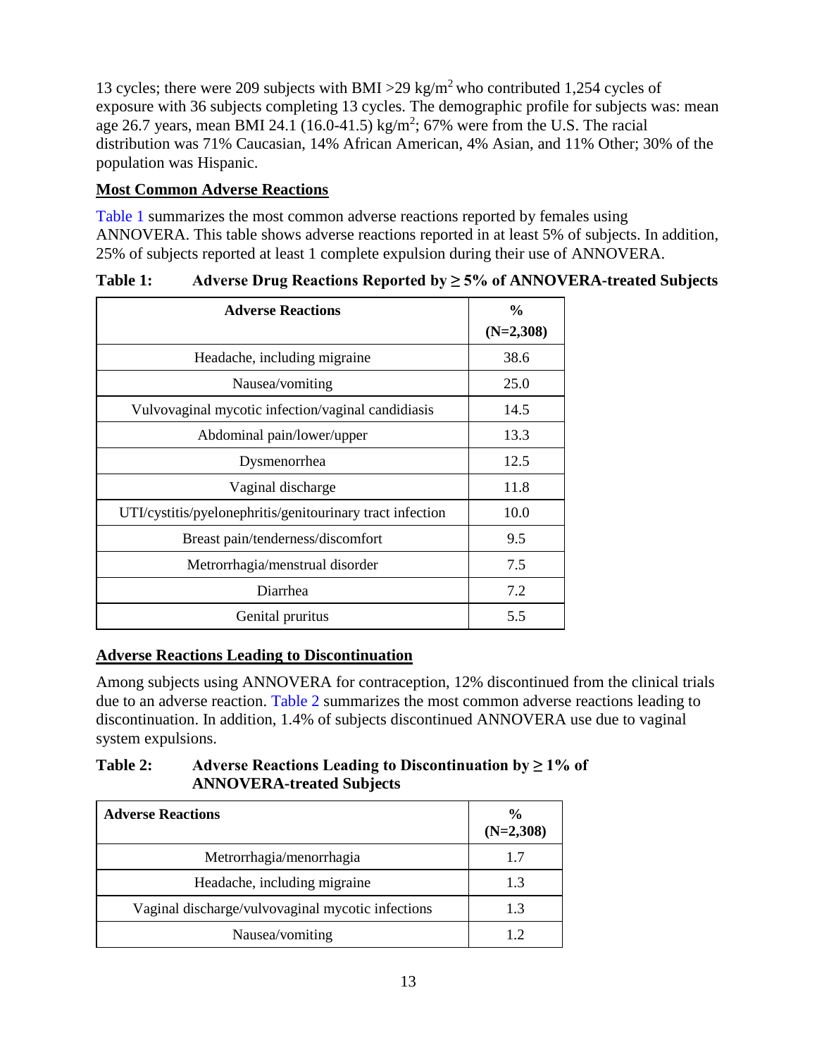13 cycles; there were 209 subjects with BMI > 29 kg/m<sup>2</sup> who contributed 1,254 cycles of exposure with 36 subjects completing 13 cycles. The demographic profile for subjects was: mean age 26.7 years, mean BMI 24.1 (16.0-41.5) kg/m<sup>2</sup>; 67% were from the U.S. The racial distribution was 71% Caucasian, 14% African American, 4% Asian, and 11% Other; 30% of the population was Hispanic.

### **Most Common Adverse Reactions**

[Table](#page-12-0) 1 summarizes the most common adverse reactions reported by females using ANNOVERA. This table shows adverse reactions reported in at least 5% of subjects. In addition, 25% of subjects reported at least 1 complete expulsion during their use of ANNOVERA.

| <b>Adverse Reactions</b>                                  | $\frac{0}{0}$ |
|-----------------------------------------------------------|---------------|
|                                                           | $(N=2,308)$   |
| Headache, including migraine                              | 38.6          |
| Nausea/vomiting                                           | 25.0          |
| Vulvovaginal mycotic infection/vaginal candidiasis        | 14.5          |
| Abdominal pain/lower/upper                                | 13.3          |
| Dysmenorrhea                                              | 12.5          |
| Vaginal discharge                                         | 11.8          |
| UTI/cystitis/pyelonephritis/genitourinary tract infection | 10.0          |
| Breast pain/tenderness/discomfort                         | 9.5           |
| Metrorrhagia/menstrual disorder                           | 7.5           |
| Diarrhea                                                  | 7.2           |
| Genital pruritus                                          | 5.5           |

### <span id="page-12-0"></span>**Table 1: Adverse Drug Reactions Reported by ≥ 5% of ANNOVERA-treated Subjects**

### **Adverse Reactions Leading to Discontinuation**

Among subjects using ANNOVERA for contraception, 12% discontinued from the clinical trials due to an adverse reaction. [Table](#page-12-1) 2 summarizes the most common adverse reactions leading to discontinuation. In addition, 1.4% of subjects discontinued ANNOVERA use due to vaginal system expulsions.

### <span id="page-12-1"></span>**Table 2: Adverse Reactions Leading to Discontinuation by ≥ 1% of ANNOVERA-treated Subjects**

| <b>Adverse Reactions</b>                          | $\frac{6}{9}$<br>$(N=2,308)$ |
|---------------------------------------------------|------------------------------|
| Metrorrhagia/menorrhagia                          | 17                           |
| Headache, including migraine                      | 1.3                          |
| Vaginal discharge/vulvovaginal mycotic infections | 1.3                          |
| Nausea/vomiting                                   |                              |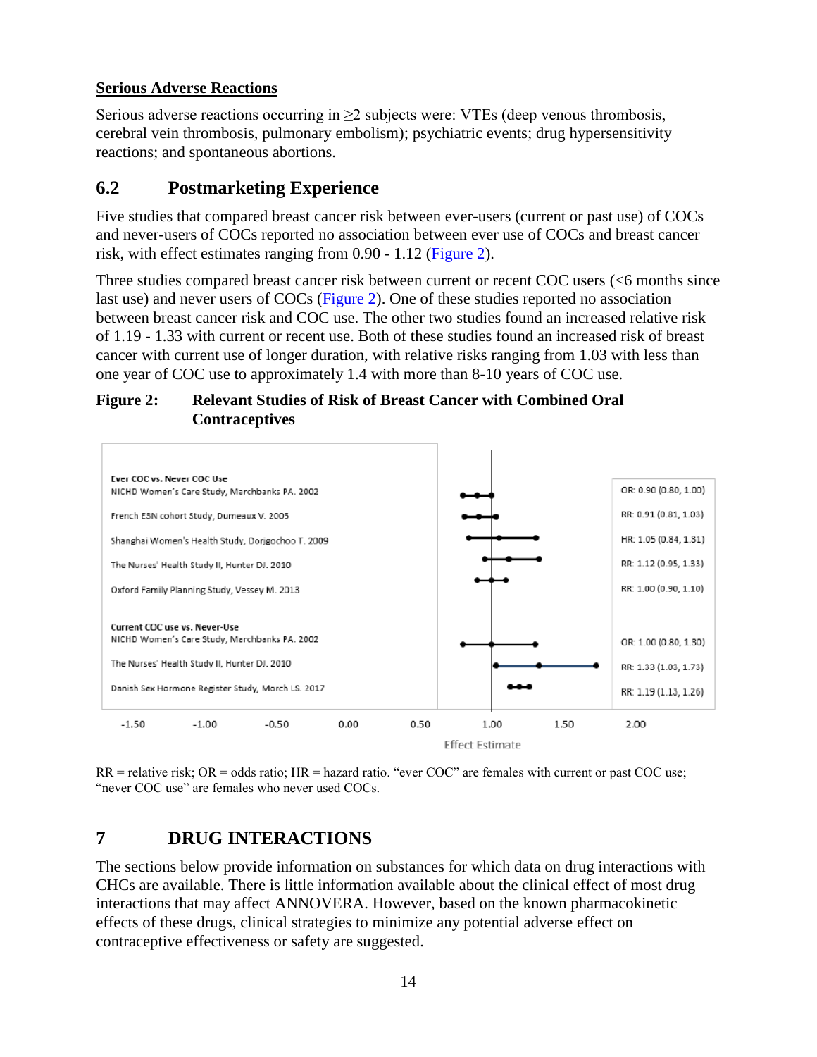#### **Serious Adverse Reactions**

Serious adverse reactions occurring in  $\geq 2$  subjects were: VTEs (deep venous thrombosis, cerebral vein thrombosis, pulmonary embolism); psychiatric events; drug hypersensitivity reactions; and spontaneous abortions.

### <span id="page-13-0"></span>**6.2 Postmarketing Experience**

Five studies that compared breast cancer risk between ever-users (current or past use) of COCs and never-users of COCs reported no association between ever use of COCs and breast cancer risk, with effect estimates ranging from 0.90 - 1.12 [\(Figure](#page-13-2) 2).

Three studies compared breast cancer risk between current or recent COC users (<6 months since last use) and never users of COCs [\(Figure](#page-13-2) 2). One of these studies reported no association between breast cancer risk and COC use. The other two studies found an increased relative risk of 1.19 - 1.33 with current or recent use. Both of these studies found an increased risk of breast cancer with current use of longer duration, with relative risks ranging from 1.03 with less than one year of COC use to approximately 1.4 with more than 8-10 years of COC use.

#### <span id="page-13-2"></span>**Figure 2: Relevant Studies of Risk of Breast Cancer with Combined Oral Contraceptives**



<span id="page-13-1"></span> $RR =$  relative risk;  $OR =$  odds ratio;  $HR =$  hazard ratio. "ever  $COC$ " are females with current or past  $COC$  use; "never COC use" are females who never used COCs.

## **7 DRUG INTERACTIONS**

The sections below provide information on substances for which data on drug interactions with CHCs are available. There is little information available about the clinical effect of most drug interactions that may affect ANNOVERA. However, based on the known pharmacokinetic effects of these drugs, clinical strategies to minimize any potential adverse effect on contraceptive effectiveness or safety are suggested.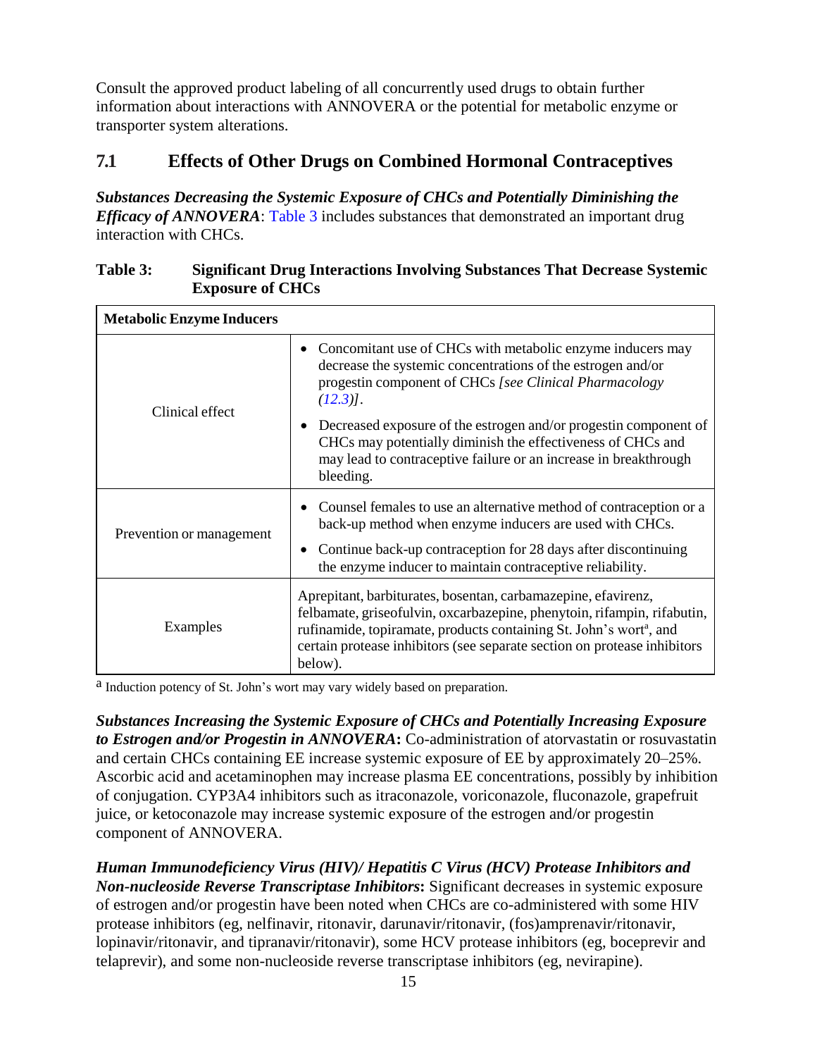Consult the approved product labeling of all concurrently used drugs to obtain further information about interactions with ANNOVERA or the potential for metabolic enzyme or transporter system alterations.

### <span id="page-14-0"></span>**7.1 Effects of Other Drugs on Combined Hormonal Contraceptives**

*Substances Decreasing the Systemic Exposure of CHCs and Potentially Diminishing the Efficacy of ANNOVERA*: [Table](#page-14-1) 3 includes substances that demonstrated an important drug interaction with CHCs.

| <b>Metabolic Enzyme Inducers</b> |                                                                                                                                                                                                                                                                                                                   |
|----------------------------------|-------------------------------------------------------------------------------------------------------------------------------------------------------------------------------------------------------------------------------------------------------------------------------------------------------------------|
| Clinical effect                  | Concomitant use of CHCs with metabolic enzyme inducers may<br>decrease the systemic concentrations of the estrogen and/or<br>progestin component of CHCs [see Clinical Pharmacology<br>$(12.3)$ .                                                                                                                 |
|                                  | Decreased exposure of the estrogen and/or progestin component of<br>CHCs may potentially diminish the effectiveness of CHCs and<br>may lead to contraceptive failure or an increase in breakthrough<br>bleeding.                                                                                                  |
| Prevention or management         | Counsel females to use an alternative method of contraception or a<br>back-up method when enzyme inducers are used with CHCs.<br>Continue back-up contraception for 28 days after discontinuing<br>the enzyme inducer to maintain contraceptive reliability.                                                      |
| Examples                         | Aprepitant, barbiturates, bosentan, carbamazepine, efavirenz,<br>felbamate, griseofulvin, oxcarbazepine, phenytoin, rifampin, rifabutin,<br>rufinamide, topiramate, products containing St. John's wort <sup>a</sup> , and<br>certain protease inhibitors (see separate section on protease inhibitors<br>below). |

#### <span id="page-14-1"></span>**Table 3: Significant Drug Interactions Involving Substances That Decrease Systemic Exposure of CHCs**

<sup>a</sup> Induction potency of St. John's wort may vary widely based on preparation.

*Substances Increasing the Systemic Exposure of CHCs and Potentially Increasing Exposure to Estrogen and/or Progestin in ANNOVERA***:** Co-administration of atorvastatin or rosuvastatin and certain CHCs containing EE increase systemic exposure of EE by approximately 20–25%. Ascorbic acid and acetaminophen may increase plasma EE concentrations, possibly by inhibition of conjugation. CYP3A4 inhibitors such as itraconazole, voriconazole, fluconazole, grapefruit juice, or ketoconazole may increase systemic exposure of the estrogen and/or progestin component of ANNOVERA.

*Human Immunodeficiency Virus (HIV)/ Hepatitis C Virus (HCV) Protease Inhibitors and Non-nucleoside Reverse Transcriptase Inhibitors***:** Significant decreases in systemic exposure of estrogen and/or progestin have been noted when CHCs are co-administered with some HIV protease inhibitors (eg, nelfinavir, ritonavir, darunavir/ritonavir, (fos)amprenavir/ritonavir, lopinavir/ritonavir, and tipranavir/ritonavir), some HCV protease inhibitors (eg, boceprevir and telaprevir), and some non-nucleoside reverse transcriptase inhibitors (eg, nevirapine).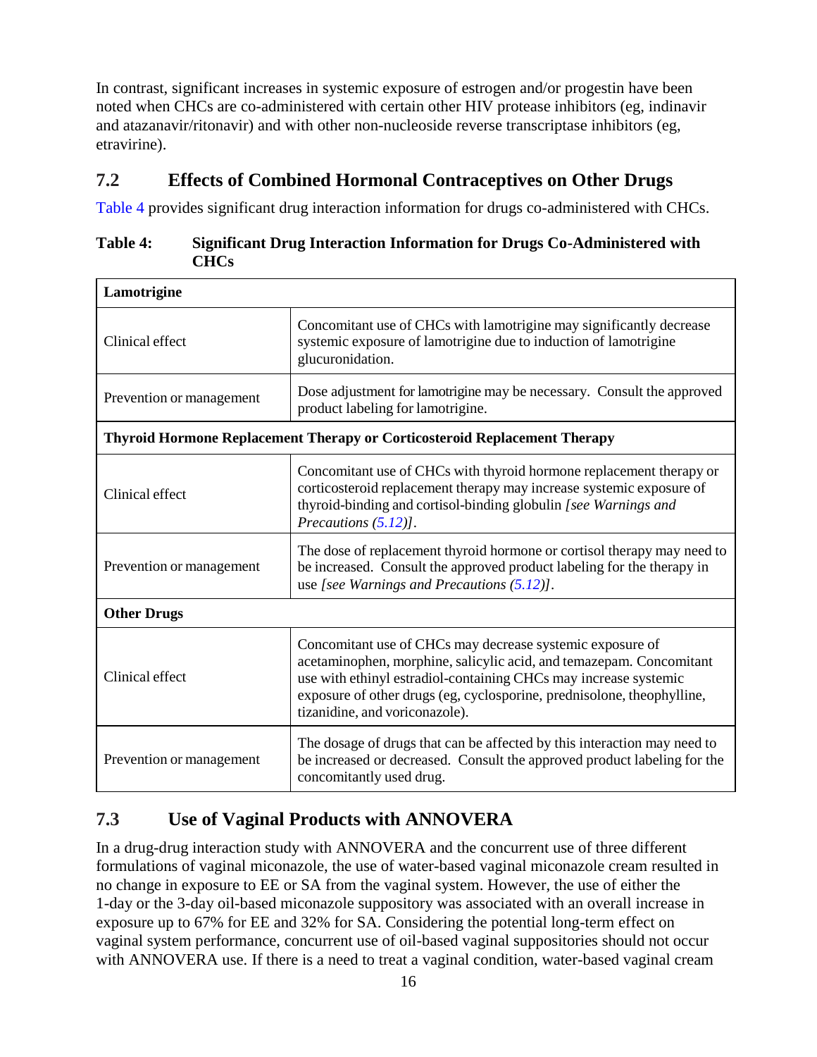In contrast, significant increases in systemic exposure of estrogen and/or progestin have been noted when CHCs are co-administered with certain other HIV protease inhibitors (eg, indinavir and atazanavir/ritonavir) and with other non-nucleoside reverse transcriptase inhibitors (eg, etravirine).

### <span id="page-15-0"></span>**7.2 Effects of Combined Hormonal Contraceptives on Other Drugs**

[Table](#page-15-2) 4 provides significant drug interaction information for drugs co-administered with CHCs.

<span id="page-15-2"></span>

| Table 4: | <b>Significant Drug Interaction Information for Drugs Co-Administered with</b> |
|----------|--------------------------------------------------------------------------------|
|          | <b>CHCs</b>                                                                    |

| Lamotrigine              |                                                                                                                                                                                                                                                                                                                  |
|--------------------------|------------------------------------------------------------------------------------------------------------------------------------------------------------------------------------------------------------------------------------------------------------------------------------------------------------------|
| Clinical effect          | Concomitant use of CHCs with lamotrigine may significantly decrease<br>systemic exposure of lamotrigine due to induction of lamotrigine<br>glucuronidation.                                                                                                                                                      |
| Prevention or management | Dose adjustment for lamotrigine may be necessary. Consult the approved<br>product labeling for lamotrigine.                                                                                                                                                                                                      |
|                          | Thyroid Hormone Replacement Therapy or Corticosteroid Replacement Therapy                                                                                                                                                                                                                                        |
| Clinical effect          | Concomitant use of CHCs with thyroid hormone replacement therapy or<br>corticosteroid replacement therapy may increase systemic exposure of<br>thyroid-binding and cortisol-binding globulin [see Warnings and<br>Precautions (5.12)].                                                                           |
| Prevention or management | The dose of replacement thyroid hormone or cortisol therapy may need to<br>be increased. Consult the approved product labeling for the therapy in<br>use [see Warnings and Precautions $(5.12)$ ].                                                                                                               |
| <b>Other Drugs</b>       |                                                                                                                                                                                                                                                                                                                  |
| Clinical effect          | Concomitant use of CHCs may decrease systemic exposure of<br>acetaminophen, morphine, salicylic acid, and temazepam. Concomitant<br>use with ethinyl estradiol-containing CHCs may increase systemic<br>exposure of other drugs (eg, cyclosporine, prednisolone, theophylline,<br>tizanidine, and voriconazole). |
| Prevention or management | The dosage of drugs that can be affected by this interaction may need to<br>be increased or decreased. Consult the approved product labeling for the<br>concomitantly used drug.                                                                                                                                 |

# <span id="page-15-1"></span>**7.3 Use of Vaginal Products with ANNOVERA**

In a drug-drug interaction study with ANNOVERA and the concurrent use of three different formulations of vaginal miconazole, the use of water-based vaginal miconazole cream resulted in no change in exposure to EE or SA from the vaginal system. However, the use of either the 1-day or the 3-day oil-based miconazole suppository was associated with an overall increase in exposure up to 67% for EE and 32% for SA. Considering the potential long-term effect on vaginal system performance, concurrent use of oil-based vaginal suppositories should not occur with ANNOVERA use. If there is a need to treat a vaginal condition, water-based vaginal cream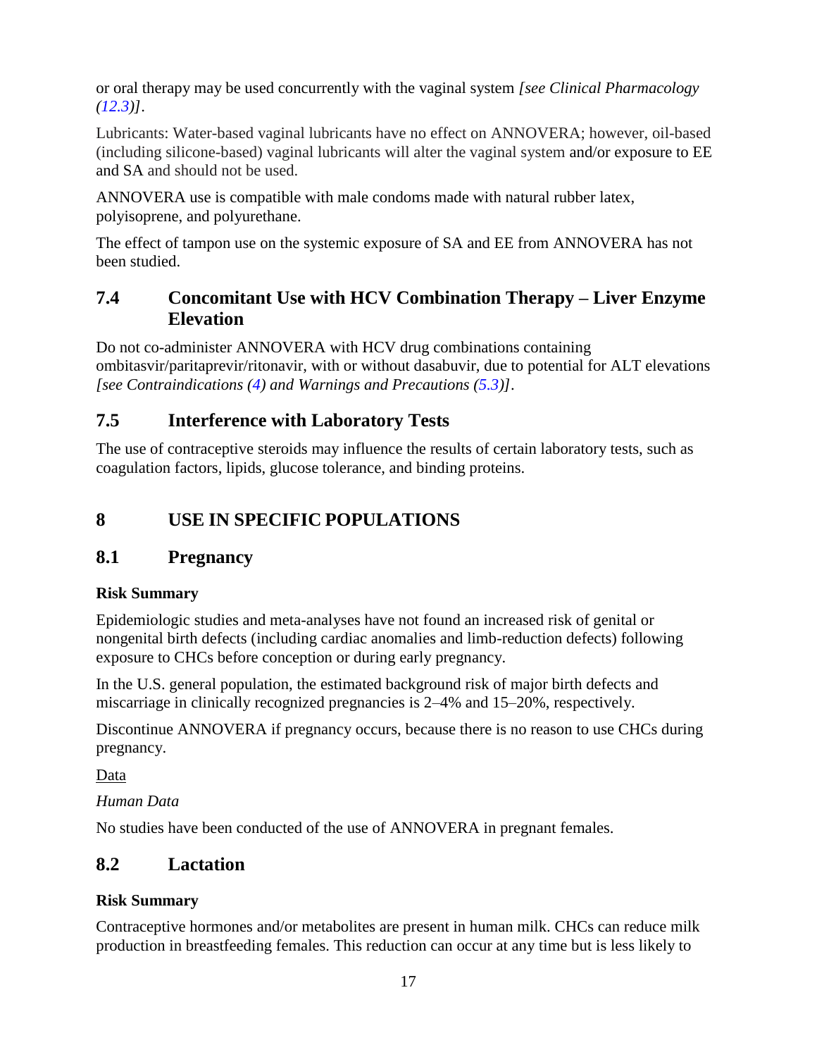or oral therapy may be used concurrently with the vaginal system *[see Clinical Pharmacology [\(12.3\)](#page-20-0)]*.

Lubricants: Water-based vaginal lubricants have no effect on ANNOVERA; however, oil-based (including silicone-based) vaginal lubricants will alter the vaginal system and/or exposure to EE and SA and should not be used.

ANNOVERA use is compatible with male condoms made with natural rubber latex, polyisoprene, and polyurethane.

The effect of tampon use on the systemic exposure of SA and EE from ANNOVERA has not been studied.

## <span id="page-16-2"></span>**7.4 Concomitant Use with HCV Combination Therapy – Liver Enzyme Elevation**

Do not co-administer ANNOVERA with HCV drug combinations containing ombitasvir/paritaprevir/ritonavir, with or without dasabuvir, due to potential for ALT elevations *[see Contraindications [\(4\)](#page-5-0) and Warnings and Precautions [\(5.3\)](#page-8-1)]*.

# <span id="page-16-3"></span>**7.5 Interference with Laboratory Tests**

The use of contraceptive steroids may influence the results of certain laboratory tests, such as coagulation factors, lipids, glucose tolerance, and binding proteins.

# <span id="page-16-4"></span>**8 USE IN SPECIFIC POPULATIONS**

## <span id="page-16-0"></span>**8.1 Pregnancy**

### **Risk Summary**

Epidemiologic studies and meta-analyses have not found an increased risk of genital or nongenital birth defects (including cardiac anomalies and limb-reduction defects) following exposure to CHCs before conception or during early pregnancy.

In the U.S. general population, the estimated background risk of major birth defects and miscarriage in clinically recognized pregnancies is 2–4% and 15–20%, respectively.

Discontinue ANNOVERA if pregnancy occurs, because there is no reason to use CHCs during pregnancy.

Data

### *Human Data*

No studies have been conducted of the use of ANNOVERA in pregnant females.

# <span id="page-16-1"></span>**8.2 Lactation**

### **Risk Summary**

Contraceptive hormones and/or metabolites are present in human milk. CHCs can reduce milk production in breastfeeding females. This reduction can occur at any time but is less likely to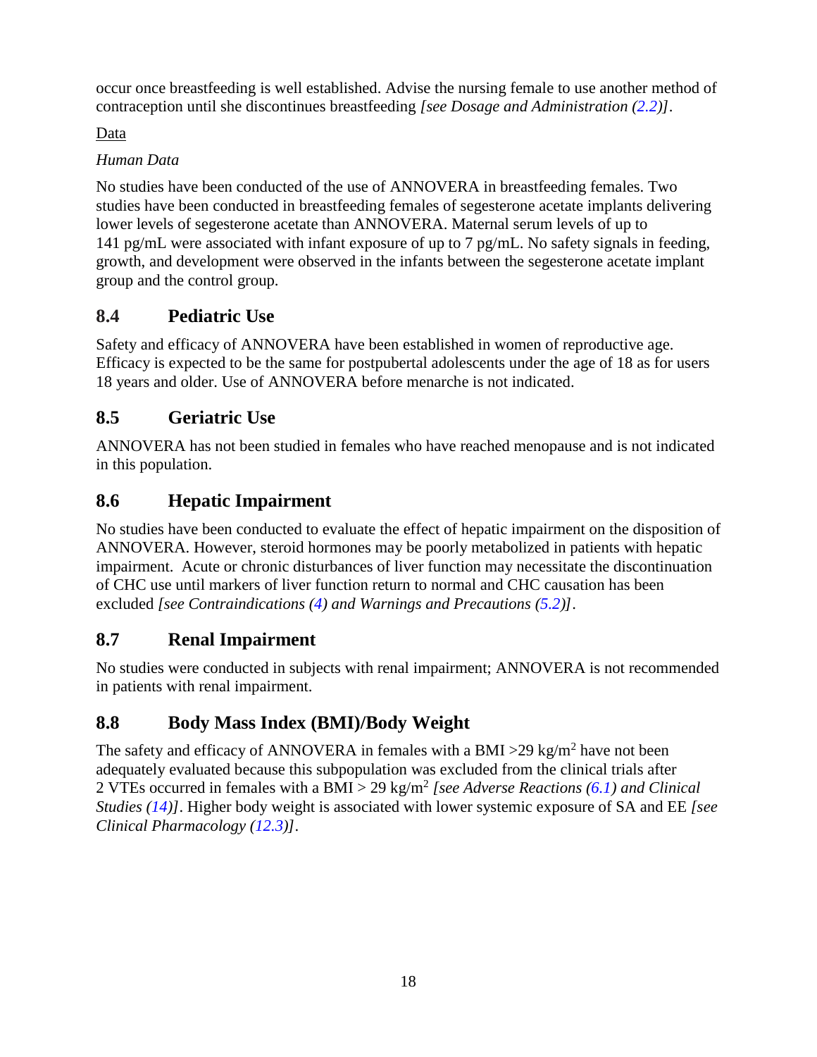occur once breastfeeding is well established. Advise the nursing female to use another method of contraception until she discontinues breastfeeding *[see Dosage and Administration [\(2.2\)](#page-3-0)]*.

### Data

### *Human Data*

No studies have been conducted of the use of ANNOVERA in breastfeeding females. Two studies have been conducted in breastfeeding females of segesterone acetate implants delivering lower levels of segesterone acetate than ANNOVERA. Maternal serum levels of up to 141 pg/mL were associated with infant exposure of up to 7 pg/mL. No safety signals in feeding, growth, and development were observed in the infants between the segesterone acetate implant group and the control group.

# <span id="page-17-0"></span>**8.4 Pediatric Use**

Safety and efficacy of ANNOVERA have been established in women of reproductive age. Efficacy is expected to be the same for postpubertal adolescents under the age of 18 as for users 18 years and older. Use of ANNOVERA before menarche is not indicated.

# <span id="page-17-1"></span>**8.5 Geriatric Use**

ANNOVERA has not been studied in females who have reached menopause and is not indicated in this population.

# <span id="page-17-2"></span>**8.6 Hepatic Impairment**

No studies have been conducted to evaluate the effect of hepatic impairment on the disposition of ANNOVERA. However, steroid hormones may be poorly metabolized in patients with hepatic impairment. Acute or chronic disturbances of liver function may necessitate the discontinuation of CHC use until markers of liver function return to normal and CHC causation has been excluded *[see Contraindications [\(4\)](#page-5-0) and Warnings and Precautions [\(5.2\)](#page-7-0)]*.

## <span id="page-17-3"></span>**8.7 Renal Impairment**

No studies were conducted in subjects with renal impairment; ANNOVERA is not recommended in patients with renal impairment.

# <span id="page-17-4"></span>**8.8 Body Mass Index (BMI)/Body Weight**

The safety and efficacy of ANNOVERA in females with a BMI > 29 kg/m<sup>2</sup> have not been adequately evaluated because this subpopulation was excluded from the clinical trials after 2 VTEs occurred in females with a BMI > 29 kg/m<sup>2</sup> [see Adverse Reactions [\(6.1\)](#page-11-4) and Clinical *Studies [\(14\)](#page-23-0)]*. Higher body weight is associated with lower systemic exposure of SA and EE *[see Clinical Pharmacology [\(12.3\)](#page-20-0)]*.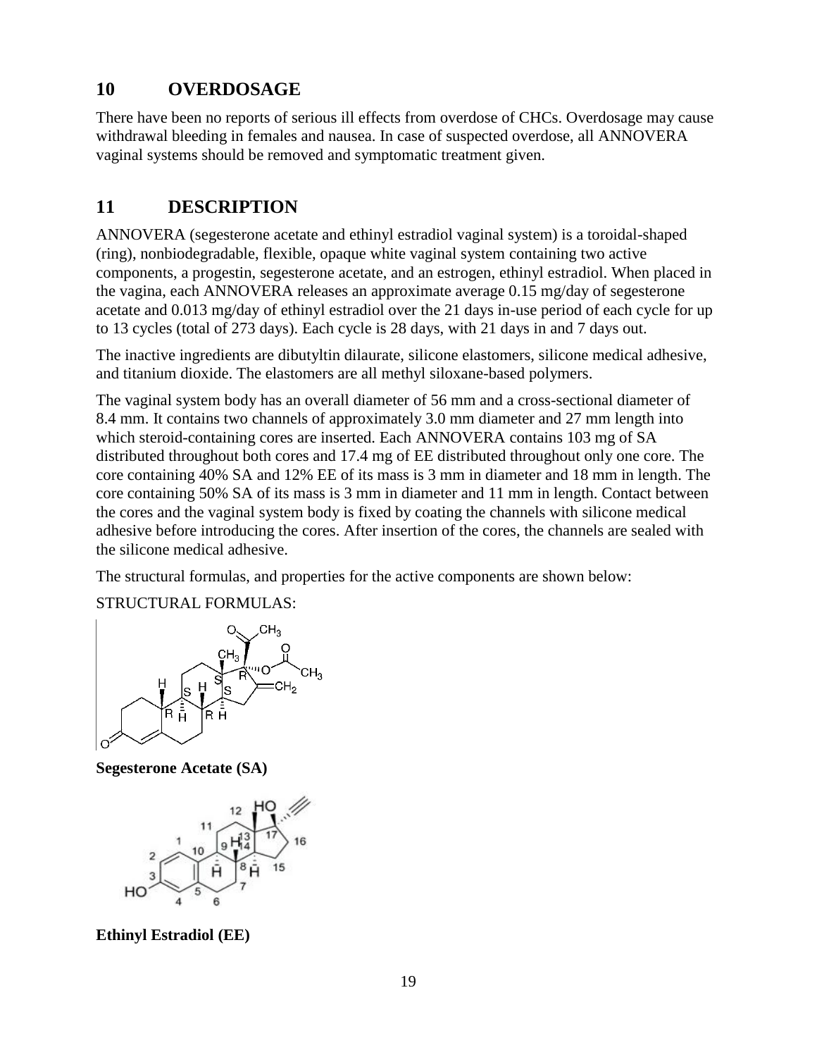## <span id="page-18-0"></span>**10 OVERDOSAGE**

There have been no reports of serious ill effects from overdose of CHCs. Overdosage may cause withdrawal bleeding in females and nausea. In case of suspected overdose, all ANNOVERA vaginal systems should be removed and symptomatic treatment given.

## <span id="page-18-1"></span>**11 DESCRIPTION**

ANNOVERA (segesterone acetate and ethinyl estradiol vaginal system) is a toroidal-shaped (ring), nonbiodegradable, flexible, opaque white vaginal system containing two active components, a progestin, segesterone acetate, and an estrogen, ethinyl estradiol. When placed in the vagina, each ANNOVERA releases an approximate average 0.15 mg/day of segesterone acetate and 0.013 mg/day of ethinyl estradiol over the 21 days in-use period of each cycle for up to 13 cycles (total of 273 days). Each cycle is 28 days, with 21 days in and 7 days out.

The inactive ingredients are dibutyltin dilaurate, silicone elastomers, silicone medical adhesive, and titanium dioxide. The elastomers are all methyl siloxane-based polymers.

The vaginal system body has an overall diameter of 56 mm and a cross-sectional diameter of 8.4 mm. It contains two channels of approximately 3.0 mm diameter and 27 mm length into which steroid-containing cores are inserted. Each ANNOVERA contains 103 mg of SA distributed throughout both cores and 17.4 mg of EE distributed throughout only one core. The core containing 40% SA and 12% EE of its mass is 3 mm in diameter and 18 mm in length. The core containing 50% SA of its mass is 3 mm in diameter and 11 mm in length. Contact between the cores and the vaginal system body is fixed by coating the channels with silicone medical adhesive before introducing the cores. After insertion of the cores, the channels are sealed with the silicone medical adhesive.

The structural formulas, and properties for the active components are shown below:

STRUCTURAL FORMULAS:



**Segesterone Acetate (SA)**



**Ethinyl Estradiol (EE)**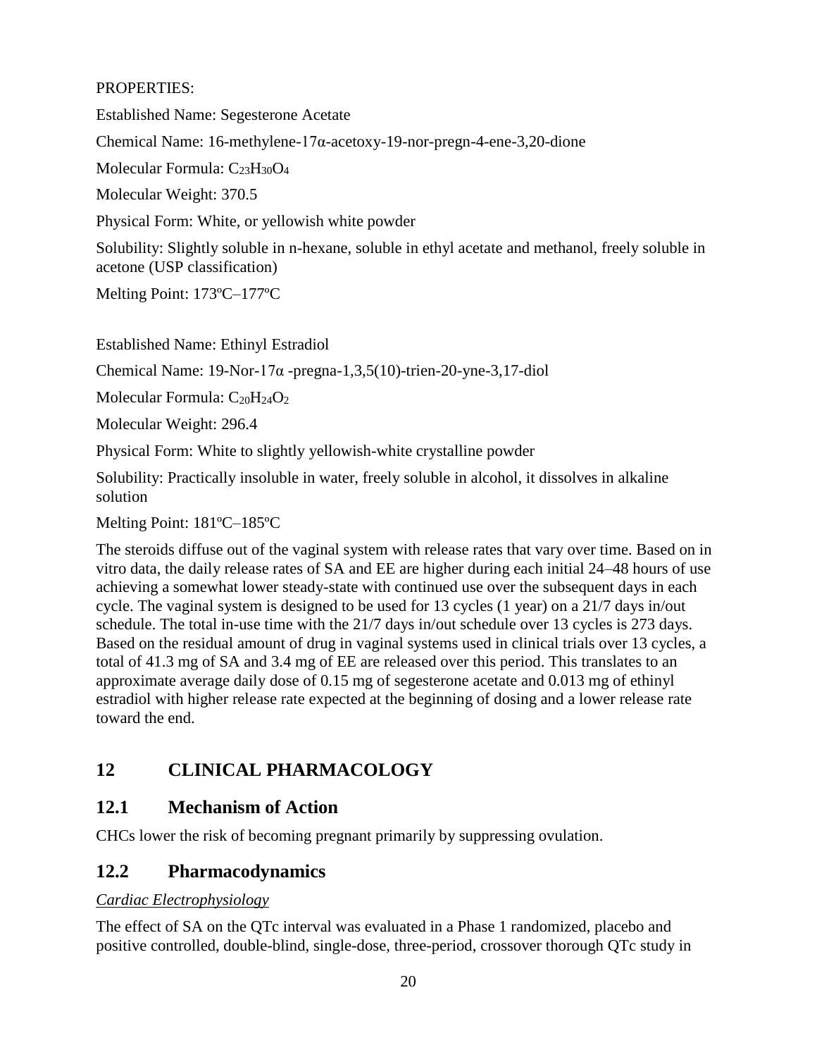#### PROPERTIES:

Established Name: Segesterone Acetate

Chemical Name: 16-methylene-17α-acetoxy-19-nor-pregn-4-ene-3,20-dione

Molecular Formula: C23H30O<sup>4</sup>

Molecular Weight: 370.5

Physical Form: White, or yellowish white powder

Solubility: Slightly soluble in n-hexane, soluble in ethyl acetate and methanol, freely soluble in acetone (USP classification)

Melting Point: 173ºC–177ºC

Established Name: Ethinyl Estradiol

Chemical Name:  $19$ -Nor- $17\alpha$ -pregna- $1,3,5(10)$ -trien- $20$ -yne- $3,17$ -diol

Molecular Formula:  $C_{20}H_{24}O_2$ 

Molecular Weight: 296.4

Physical Form: White to slightly yellowish-white crystalline powder

Solubility: Practically insoluble in water, freely soluble in alcohol, it dissolves in alkaline solution

Melting Point: 181ºC–185ºC

The steroids diffuse out of the vaginal system with release rates that vary over time. Based on in vitro data, the daily release rates of SA and EE are higher during each initial 24–48 hours of use achieving a somewhat lower steady-state with continued use over the subsequent days in each cycle. The vaginal system is designed to be used for 13 cycles (1 year) on a 21/7 days in/out schedule. The total in-use time with the 21/7 days in/out schedule over 13 cycles is 273 days. Based on the residual amount of drug in vaginal systems used in clinical trials over 13 cycles, a total of 41.3 mg of SA and 3.4 mg of EE are released over this period. This translates to an approximate average daily dose of 0.15 mg of segesterone acetate and 0.013 mg of ethinyl estradiol with higher release rate expected at the beginning of dosing and a lower release rate toward the end.

# <span id="page-19-0"></span>**12 CLINICAL PHARMACOLOGY**

### <span id="page-19-1"></span>**12.1 Mechanism of Action**

CHCs lower the risk of becoming pregnant primarily by suppressing ovulation.

### <span id="page-19-2"></span>**12.2 Pharmacodynamics**

#### *Cardiac Electrophysiology*

The effect of SA on the QTc interval was evaluated in a Phase 1 randomized, placebo and positive controlled, double-blind, single-dose, three-period, crossover thorough QTc study in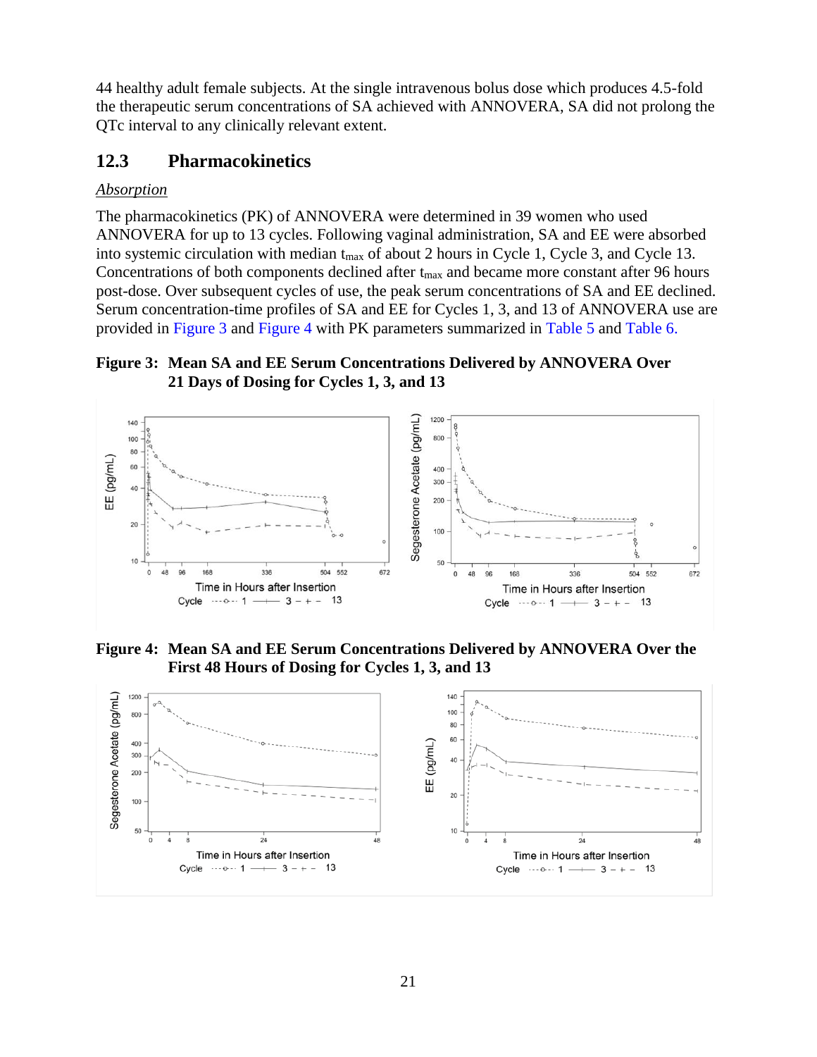44 healthy adult female subjects. At the single intravenous bolus dose which produces 4.5-fold the therapeutic serum concentrations of SA achieved with ANNOVERA, SA did not prolong the QTc interval to any clinically relevant extent.

### <span id="page-20-0"></span>**12.3 Pharmacokinetics**

#### *Absorption*

The pharmacokinetics (PK) of ANNOVERA were determined in 39 women who used ANNOVERA for up to 13 cycles. Following vaginal administration, SA and EE were absorbed into systemic circulation with median t<sub>max</sub> of about 2 hours in Cycle 1, Cycle 3, and Cycle 13. Concentrations of both components declined after t<sub>max</sub> and became more constant after 96 hours post-dose. Over subsequent cycles of use, the peak serum concentrations of SA and EE declined. Serum concentration-time profiles of SA and EE for Cycles 1, 3, and 13 of ANNOVERA use are provided in [Figure 3](#page-20-1) and [Figure 4](#page-20-2) with PK parameters summarized in [Table](#page-21-0) 5 and [Table](#page-21-1) 6.

#### <span id="page-20-1"></span>**Figure 3: Mean SA and EE Serum Concentrations Delivered by ANNOVERA Over 21 Days of Dosing for Cycles 1, 3, and 13**



<span id="page-20-2"></span>**Figure 4: Mean SA and EE Serum Concentrations Delivered by ANNOVERA Over the First 48 Hours of Dosing for Cycles 1, 3, and 13**

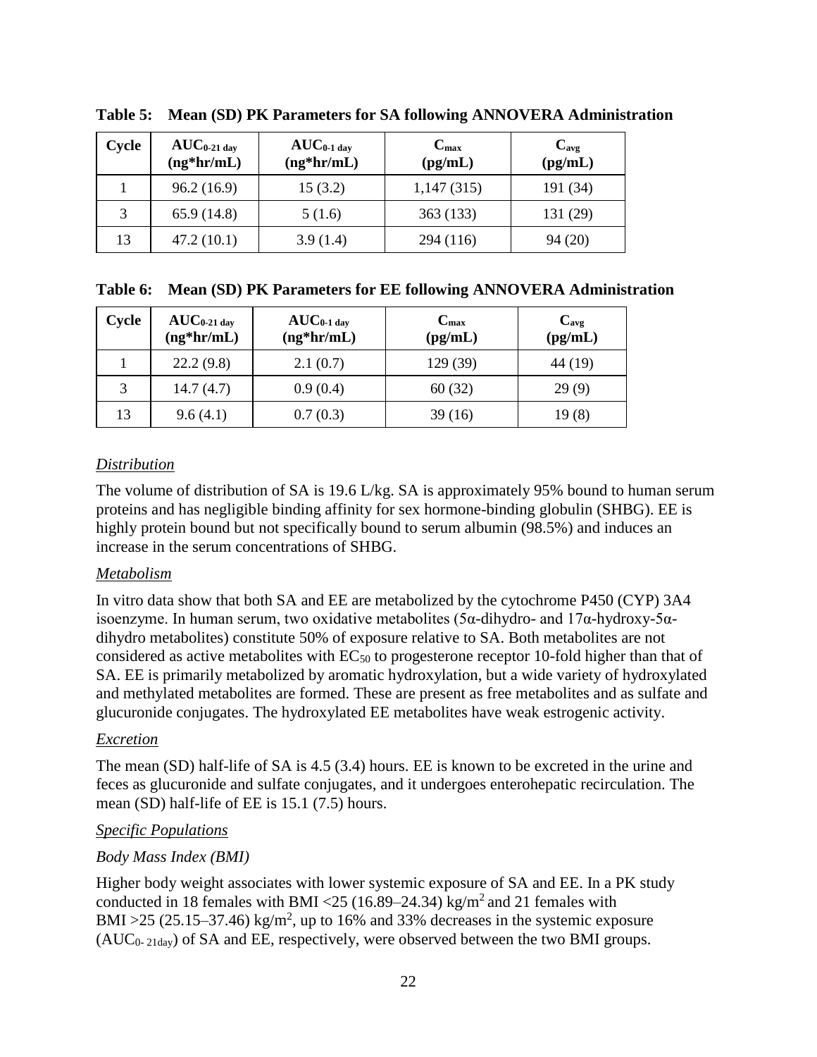| Cycle | $AUC_{0-21\,\text{day}}$<br>$(ng*hr/mL)$ | $AUC_{0-1}$ day<br>$(ng*hr/mL)$ | $C_{\rm max}$<br>$\textbf{(pg/mL)}$ | $C_{\rm avg}$<br>(pg/mL) |
|-------|------------------------------------------|---------------------------------|-------------------------------------|--------------------------|
|       | 96.2(16.9)                               | 15(3.2)                         | 1,147(315)                          | 191 (34)                 |
| 3     | 65.9(14.8)                               | 5(1.6)                          | 363 (133)                           | 131 (29)                 |
| 13    | 47.2(10.1)                               | 3.9(1.4)                        | 294 (116)                           | 94(20)                   |

<span id="page-21-0"></span>**Table 5: Mean (SD) PK Parameters for SA following ANNOVERA Administration** 

<span id="page-21-1"></span>

|  | Table 6: Mean (SD) PK Parameters for EE following ANNOVERA Administration |  |  |  |  |
|--|---------------------------------------------------------------------------|--|--|--|--|
|--|---------------------------------------------------------------------------|--|--|--|--|

| Cycle | $AUC_{0.21 \text{ day}}$<br>$(ng*hr/mL)$ | $\mathrm{AUC}_{0\text{-}1\,\mathrm{day}}$<br>$(ng*hr/mL)$ | $C_{\rm max}$<br>(pg/mL) | $C_{\text{avg}}$<br>(pg/mL) |
|-------|------------------------------------------|-----------------------------------------------------------|--------------------------|-----------------------------|
|       | 22.2(9.8)                                | 2.1(0.7)                                                  | 129 (39)                 | 44 (19)                     |
|       | 14.7(4.7)                                | 0.9(0.4)                                                  | 60(32)                   | 29(9)                       |
| 13    | 9.6(4.1)                                 | 0.7(0.3)                                                  | 39(16)                   | 19(8)                       |

### *Distribution*

The volume of distribution of SA is 19.6 L/kg. SA is approximately 95% bound to human serum proteins and has negligible binding affinity for sex hormone-binding globulin (SHBG). EE is highly protein bound but not specifically bound to serum albumin (98.5%) and induces an increase in the serum concentrations of SHBG.

#### *Metabolism*

In vitro data show that both SA and EE are metabolized by the cytochrome P450 (CYP) 3A4 isoenzyme. In human serum, two oxidative metabolites (5α-dihydro- and 17α-hydroxy-5αdihydro metabolites) constitute 50% of exposure relative to SA. Both metabolites are not considered as active metabolites with  $EC_{50}$  to progesterone receptor 10-fold higher than that of SA. EE is primarily metabolized by aromatic hydroxylation, but a wide variety of hydroxylated and methylated metabolites are formed. These are present as free metabolites and as sulfate and glucuronide conjugates. The hydroxylated EE metabolites have weak estrogenic activity.

#### *Excretion*

The mean (SD) half-life of SA is 4.5 (3.4) hours. EE is known to be excreted in the urine and feces as glucuronide and sulfate conjugates, and it undergoes enterohepatic recirculation. The mean (SD) half-life of EE is 15.1 (7.5) hours.

#### *Specific Populations*

#### *Body Mass Index (BMI)*

Higher body weight associates with lower systemic exposure of SA and EE. In a PK study conducted in 18 females with BMI <25 (16.89–24.34) kg/m<sup>2</sup> and 21 females with BMI >25 (25.15–37.46) kg/m<sup>2</sup>, up to 16% and 33% decreases in the systemic exposure  $(AUC_{0-21day})$  of SA and EE, respectively, were observed between the two BMI groups.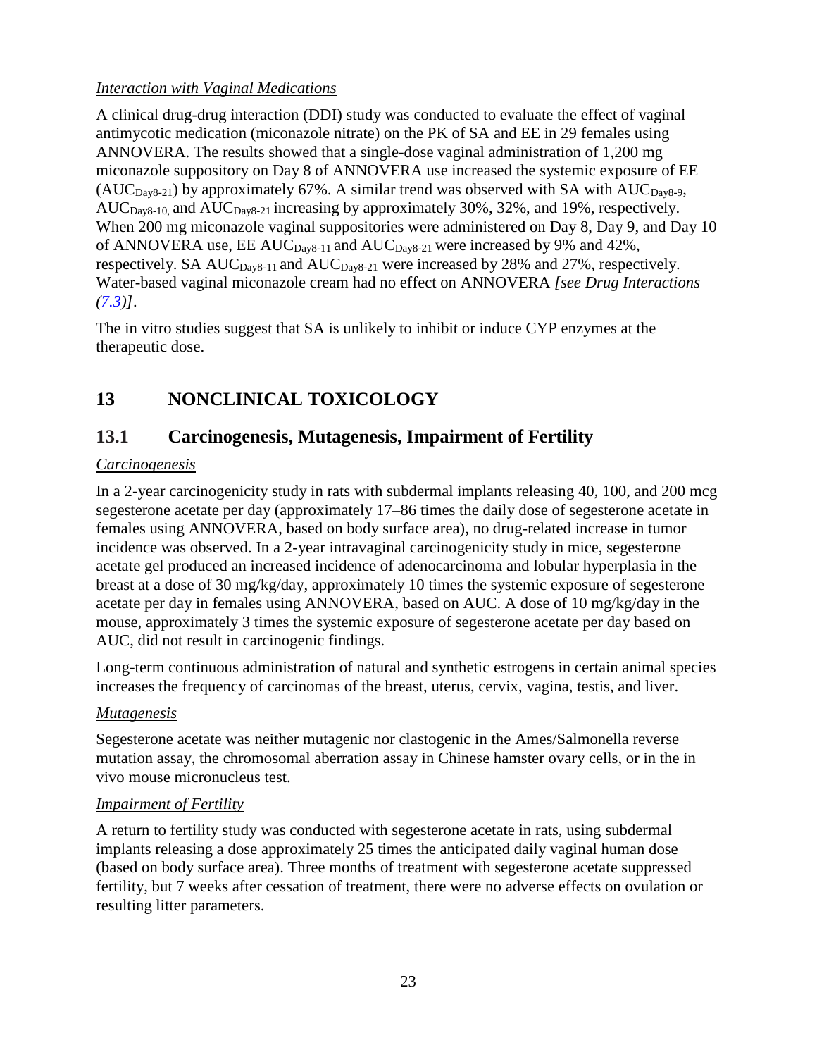### *Interaction with Vaginal Medications*

A clinical drug-drug interaction (DDI) study was conducted to evaluate the effect of vaginal antimycotic medication (miconazole nitrate) on the PK of SA and EE in 29 females using ANNOVERA. The results showed that a single-dose vaginal administration of 1,200 mg miconazole suppository on Day 8 of ANNOVERA use increased the systemic exposure of EE  $(AUC_{\text{Dav8-21}})$  by approximately 67%. A similar trend was observed with SA with AUC $_{\text{Dav8-9}}$ ,  $AUC_{Day8-10}$ , and  $AUC_{Day8-21}$  increasing by approximately 30%, 32%, and 19%, respectively. When 200 mg miconazole vaginal suppositories were administered on Day 8, Day 9, and Day 10 of ANNOVERA use, EE AUC $_{\text{Day8-11}}$  and AUC $_{\text{Day8-21}}$  were increased by 9% and 42%, respectively. SA  $AUC_{Day8-11}$  and  $AUC_{Day8-21}$  were increased by 28% and 27%, respectively. Water-based vaginal miconazole cream had no effect on ANNOVERA *[see Drug Interactions [\(7.3\)](#page-15-1)]*.

The in vitro studies suggest that SA is unlikely to inhibit or induce CYP enzymes at the therapeutic dose.

# <span id="page-22-0"></span>**13 NONCLINICAL TOXICOLOGY**

## <span id="page-22-1"></span>**13.1 Carcinogenesis, Mutagenesis, Impairment of Fertility**

### *Carcinogenesis*

In a 2-year carcinogenicity study in rats with subdermal implants releasing 40, 100, and 200 mcg segesterone acetate per day (approximately 17–86 times the daily dose of segesterone acetate in females using ANNOVERA, based on body surface area), no drug-related increase in tumor incidence was observed. In a 2-year intravaginal carcinogenicity study in mice, segesterone acetate gel produced an increased incidence of adenocarcinoma and lobular hyperplasia in the breast at a dose of 30 mg/kg/day, approximately 10 times the systemic exposure of segesterone acetate per day in females using ANNOVERA, based on AUC. A dose of 10 mg/kg/day in the mouse, approximately 3 times the systemic exposure of segesterone acetate per day based on AUC, did not result in carcinogenic findings.

Long-term continuous administration of natural and synthetic estrogens in certain animal species increases the frequency of carcinomas of the breast, uterus, cervix, vagina, testis, and liver.

#### *Mutagenesis*

Segesterone acetate was neither mutagenic nor clastogenic in the Ames/Salmonella reverse mutation assay, the chromosomal aberration assay in Chinese hamster ovary cells, or in the in vivo mouse micronucleus test.

#### *Impairment of Fertility*

A return to fertility study was conducted with segesterone acetate in rats, using subdermal implants releasing a dose approximately 25 times the anticipated daily vaginal human dose (based on body surface area). Three months of treatment with segesterone acetate suppressed fertility, but 7 weeks after cessation of treatment, there were no adverse effects on ovulation or resulting litter parameters.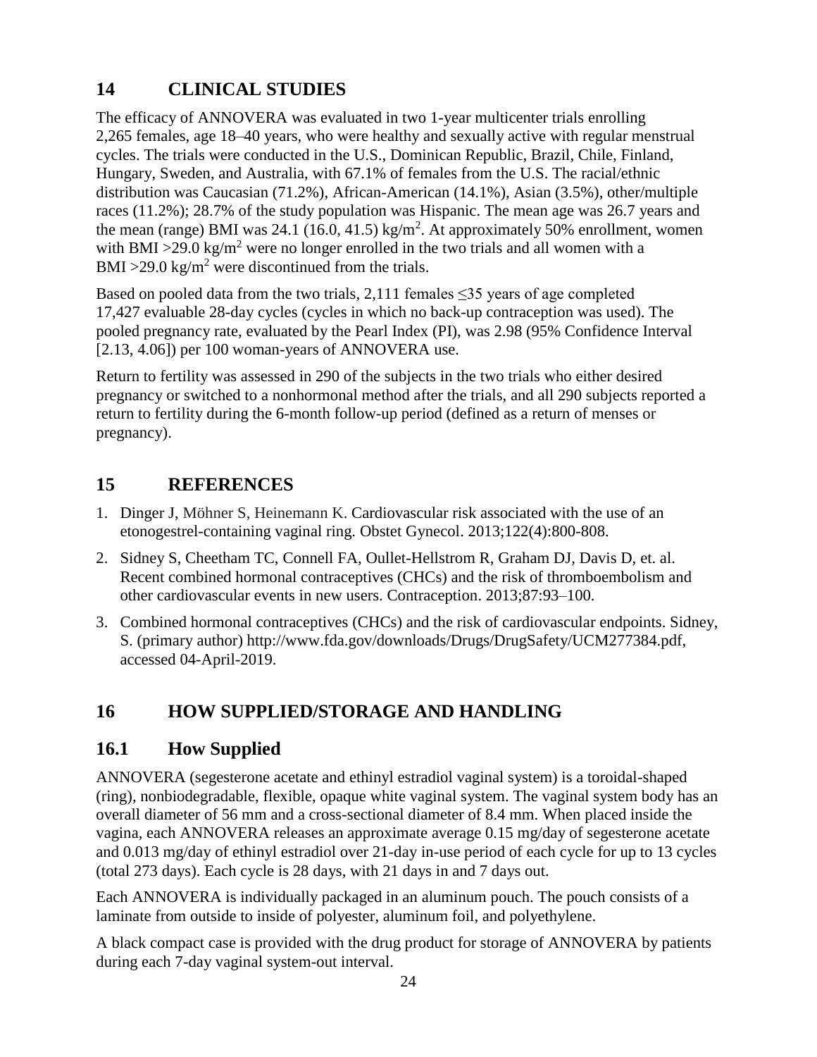# <span id="page-23-0"></span>**14 CLINICAL STUDIES**

The efficacy of ANNOVERA was evaluated in two 1-year multicenter trials enrolling 2,265 females, age 18–40 years, who were healthy and sexually active with regular menstrual cycles. The trials were conducted in the U.S., Dominican Republic, Brazil, Chile, Finland, Hungary, Sweden, and Australia, with 67.1% of females from the U.S. The racial/ethnic distribution was Caucasian (71.2%), African-American (14.1%), Asian (3.5%), other/multiple races (11.2%); 28.7% of the study population was Hispanic. The mean age was 26.7 years and the mean (range) BMI was 24.1 (16.0, 41.5) kg/m<sup>2</sup>. At approximately 50% enrollment, women with BMI >29.0 kg/m<sup>2</sup> were no longer enrolled in the two trials and all women with a BMI >29.0 kg/m<sup>2</sup> were discontinued from the trials.

Based on pooled data from the two trials, 2,111 females  $\leq$ 35 years of age completed 17,427 evaluable 28-day cycles (cycles in which no back-up contraception was used). The pooled pregnancy rate, evaluated by the Pearl Index (PI), was 2.98 (95% Confidence Interval [2.13, 4.06]) per 100 woman-years of ANNOVERA use.

Return to fertility was assessed in 290 of the subjects in the two trials who either desired pregnancy or switched to a nonhormonal method after the trials, and all 290 subjects reported a return to fertility during the 6-month follow-up period (defined as a return of menses or pregnancy).

## <span id="page-23-1"></span>**15 REFERENCES**

- 1. Dinger J, Möhner S, Heinemann K. Cardiovascular risk associated with the use of an etonogestrel-containing vaginal ring. Obstet Gynecol. 2013;122(4):800-808.
- 2. Sidney S, Cheetham TC, Connell FA, Oullet-Hellstrom R, Graham DJ, Davis D, et. al. Recent combined hormonal contraceptives (CHCs) and the risk of thromboembolism and other cardiovascular events in new users. Contraception. 2013;87:93–100.
- 3. Combined hormonal contraceptives (CHCs) and the risk of cardiovascular endpoints. Sidney, S. (primary author) http://www.fda.gov/downloads/Drugs/DrugSafety/UCM277384.pdf, accessed 04-April-2019.

# <span id="page-23-2"></span>**16 HOW SUPPLIED/STORAGE AND HANDLING**

## <span id="page-23-3"></span>**16.1 How Supplied**

ANNOVERA (segesterone acetate and ethinyl estradiol vaginal system) is a toroidal-shaped (ring), nonbiodegradable, flexible, opaque white vaginal system. The vaginal system body has an overall diameter of 56 mm and a cross-sectional diameter of 8.4 mm. When placed inside the vagina, each ANNOVERA releases an approximate average 0.15 mg/day of segesterone acetate and 0.013 mg/day of ethinyl estradiol over 21-day in-use period of each cycle for up to 13 cycles (total 273 days). Each cycle is 28 days, with 21 days in and 7 days out.

Each ANNOVERA is individually packaged in an aluminum pouch. The pouch consists of a laminate from outside to inside of polyester, aluminum foil, and polyethylene.

A black compact case is provided with the drug product for storage of ANNOVERA by patients during each 7-day vaginal system-out interval.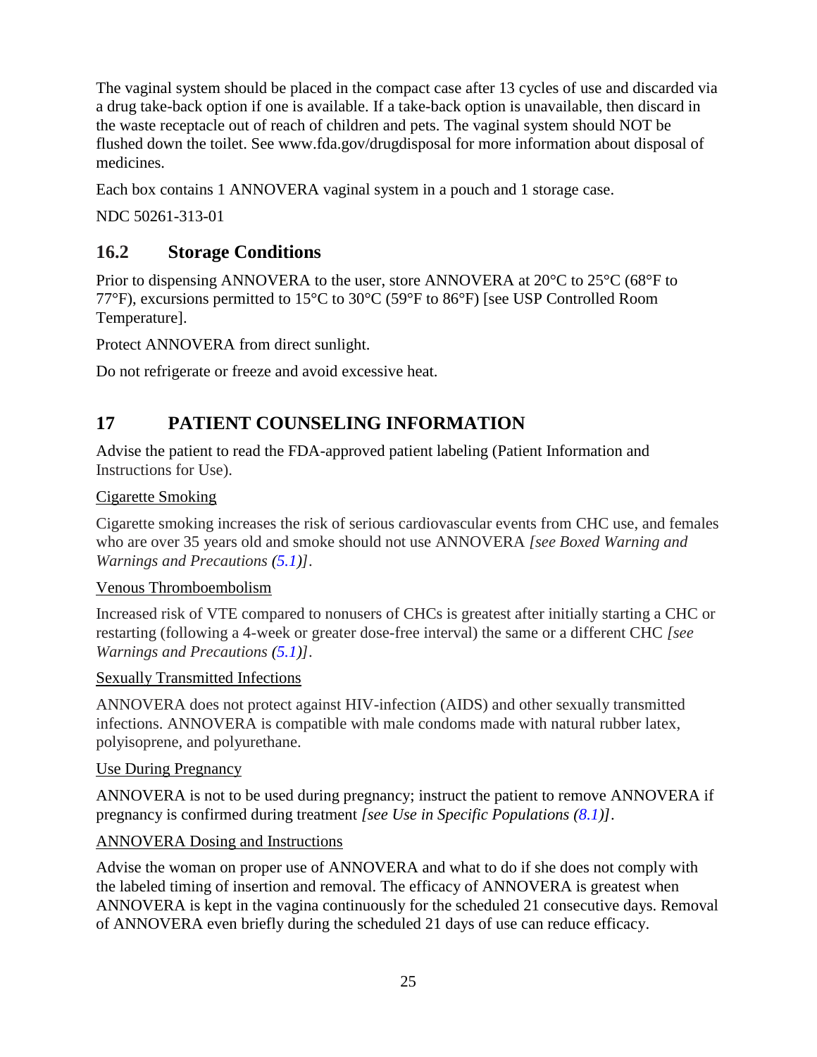The vaginal system should be placed in the compact case after 13 cycles of use and discarded via a drug take-back option if one is available. If a take-back option is unavailable, then discard in the waste receptacle out of reach of children and pets. The vaginal system should NOT be flushed down the toilet. See www.fda.gov/drugdisposal for more information about disposal of medicines.

Each box contains 1 ANNOVERA vaginal system in a pouch and 1 storage case.

NDC 50261-313-01

## <span id="page-24-1"></span>**16.2 Storage Conditions**

Prior to dispensing ANNOVERA to the user, store ANNOVERA at 20°C to 25°C (68°F to 77°F), excursions permitted to 15°C to 30°C (59°F to 86°F) [see USP Controlled Room Temperature].

Protect ANNOVERA from direct sunlight.

Do not refrigerate or freeze and avoid excessive heat.

# <span id="page-24-0"></span>**17 PATIENT COUNSELING INFORMATION**

Advise the patient to read the FDA-approved patient labeling (Patient Information and Instructions for Use).

<span id="page-24-2"></span>Cigarette Smoking

Cigarette smoking increases the risk of serious cardiovascular events from CHC use, and females who are over 35 years old and smoke should not use ANNOVERA *[see Boxed Warning and Warnings and Precautions [\(5.1\)](#page-6-0)]*.

<span id="page-24-3"></span>Venous Thromboembolism

Increased risk of VTE compared to nonusers of CHCs is greatest after initially starting a CHC or restarting (following a 4-week or greater dose-free interval) the same or a different CHC *[see Warnings and Precautions [\(5.1\)](#page-6-0)]*.

#### <span id="page-24-4"></span>Sexually Transmitted Infections

ANNOVERA does not protect against HIV-infection (AIDS) and other sexually transmitted infections. ANNOVERA is compatible with male condoms made with natural rubber latex, polyisoprene, and polyurethane.

#### <span id="page-24-5"></span>Use During Pregnancy

ANNOVERA is not to be used during pregnancy; instruct the patient to remove ANNOVERA if pregnancy is confirmed during treatment *[see Use in Specific Populations [\(8.1\)](#page-16-0)]*.

### <span id="page-24-6"></span>ANNOVERA Dosing and Instructions

Advise the woman on proper use of ANNOVERA and what to do if she does not comply with the labeled timing of insertion and removal. The efficacy of ANNOVERA is greatest when ANNOVERA is kept in the vagina continuously for the scheduled 21 consecutive days. Removal of ANNOVERA even briefly during the scheduled 21 days of use can reduce efficacy.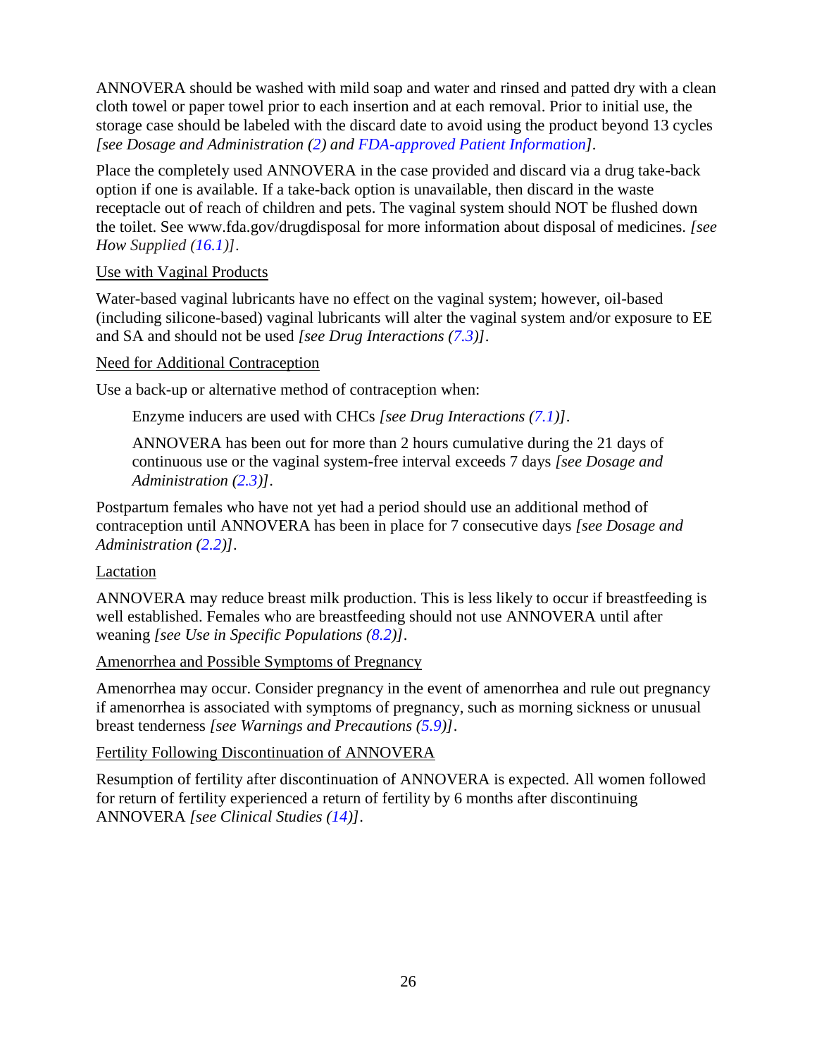ANNOVERA should be washed with mild soap and water and rinsed and patted dry with a clean cloth towel or paper towel prior to each insertion and at each removal. Prior to initial use, the storage case should be labeled with the discard date to avoid using the product beyond 13 cycles *[see Dosage and Administration [\(2\)](#page-2-1) and [FDA-approved Patient Information\]](#page-26-0).*

Place the completely used ANNOVERA in the case provided and discard via a drug take-back option if one is available. If a take-back option is unavailable, then discard in the waste receptacle out of reach of children and pets. The vaginal system should NOT be flushed down the toilet. See www.fda.gov/drugdisposal for more information about disposal of medicines. *[see How Supplied [\(16.1\)](#page-23-3)]*.

#### <span id="page-25-0"></span>Use with Vaginal Products

Water-based vaginal lubricants have no effect on the vaginal system; however, oil-based (including silicone-based) vaginal lubricants will alter the vaginal system and/or exposure to EE and SA and should not be used *[see Drug Interactions [\(7.3\)](#page-15-1)]*.

#### <span id="page-25-1"></span>Need for Additional Contraception

Use a back-up or alternative method of contraception when:

Enzyme inducers are used with CHCs *[see Drug Interactions [\(7.1\)](#page-14-0)]*.

ANNOVERA has been out for more than 2 hours cumulative during the 21 days of continuous use or the vaginal system-free interval exceeds 7 days *[see Dosage and Administration [\(2.3\)](#page-4-1)]*.

Postpartum females who have not yet had a period should use an additional method of contraception until ANNOVERA has been in place for 7 consecutive days *[see Dosage and Administration [\(2.2\)](#page-3-0)]*.

#### <span id="page-25-2"></span>Lactation

ANNOVERA may reduce breast milk production. This is less likely to occur if breastfeeding is well established. Females who are breastfeeding should not use ANNOVERA until after weaning *[see Use in Specific Populations [\(8.2\)](#page-16-1)]*.

#### <span id="page-25-3"></span>Amenorrhea and Possible Symptoms of Pregnancy

Amenorrhea may occur. Consider pregnancy in the event of amenorrhea and rule out pregnancy if amenorrhea is associated with symptoms of pregnancy, such as morning sickness or unusual breast tenderness *[see Warnings and Precautions [\(5.9\)](#page-9-2)]*.

#### <span id="page-25-4"></span>Fertility Following Discontinuation of ANNOVERA

Resumption of fertility after discontinuation of ANNOVERA is expected. All women followed for return of fertility experienced a return of fertility by 6 months after discontinuing ANNOVERA *[see Clinical Studies [\(14\)](#page-23-0)]*.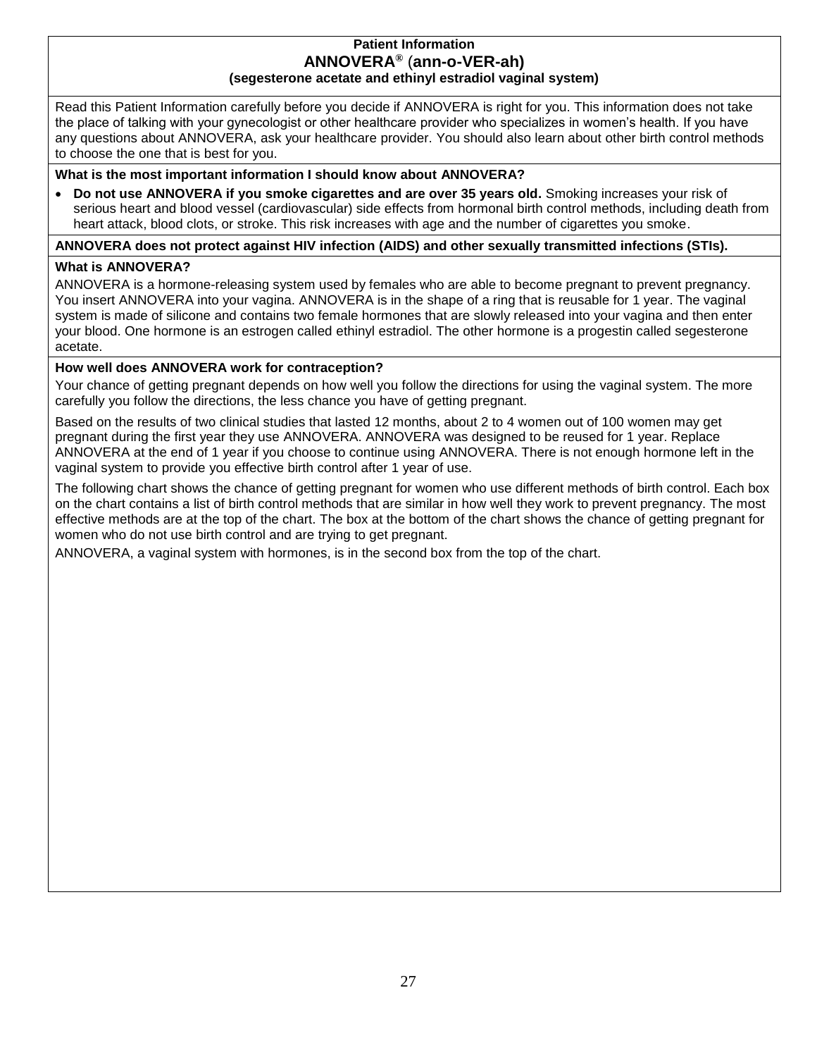#### **Patient Information ANNOVERA®** (**ann-o-VER-ah) (segesterone acetate and ethinyl estradiol vaginal system)**

<span id="page-26-0"></span>Read this Patient Information carefully before you decide if ANNOVERA is right for you. This information does not take the place of talking with your gynecologist or other healthcare provider who specializes in women's health. If you have any questions about ANNOVERA, ask your healthcare provider. You should also learn about other birth control methods to choose the one that is best for you.

**What is the most important information I should know about ANNOVERA?**

• **Do not use ANNOVERA if you smoke cigarettes and are over 35 years old.** Smoking increases your risk of serious heart and blood vessel (cardiovascular) side effects from hormonal birth control methods, including death from heart attack, blood clots, or stroke. This risk increases with age and the number of cigarettes you smoke.

#### **ANNOVERA does not protect against HIV infection (AIDS) and other sexually transmitted infections (STIs).**

#### **What is ANNOVERA?**

ANNOVERA is a hormone-releasing system used by females who are able to become pregnant to prevent pregnancy. You insert ANNOVERA into your vagina. ANNOVERA is in the shape of a ring that is reusable for 1 year. The vaginal system is made of silicone and contains two female hormones that are slowly released into your vagina and then enter your blood. One hormone is an estrogen called ethinyl estradiol. The other hormone is a progestin called segesterone acetate.

#### **How well does ANNOVERA work for contraception?**

Your chance of getting pregnant depends on how well you follow the directions for using the vaginal system. The more carefully you follow the directions, the less chance you have of getting pregnant.

Based on the results of two clinical studies that lasted 12 months, about 2 to 4 women out of 100 women may get pregnant during the first year they use ANNOVERA. ANNOVERA was designed to be reused for 1 year. Replace ANNOVERA at the end of 1 year if you choose to continue using ANNOVERA. There is not enough hormone left in the vaginal system to provide you effective birth control after 1 year of use.

The following chart shows the chance of getting pregnant for women who use different methods of birth control. Each box on the chart contains a list of birth control methods that are similar in how well they work to prevent pregnancy. The most effective methods are at the top of the chart. The box at the bottom of the chart shows the chance of getting pregnant for women who do not use birth control and are trying to get pregnant.

ANNOVERA, a vaginal system with hormones, is in the second box from the top of the chart.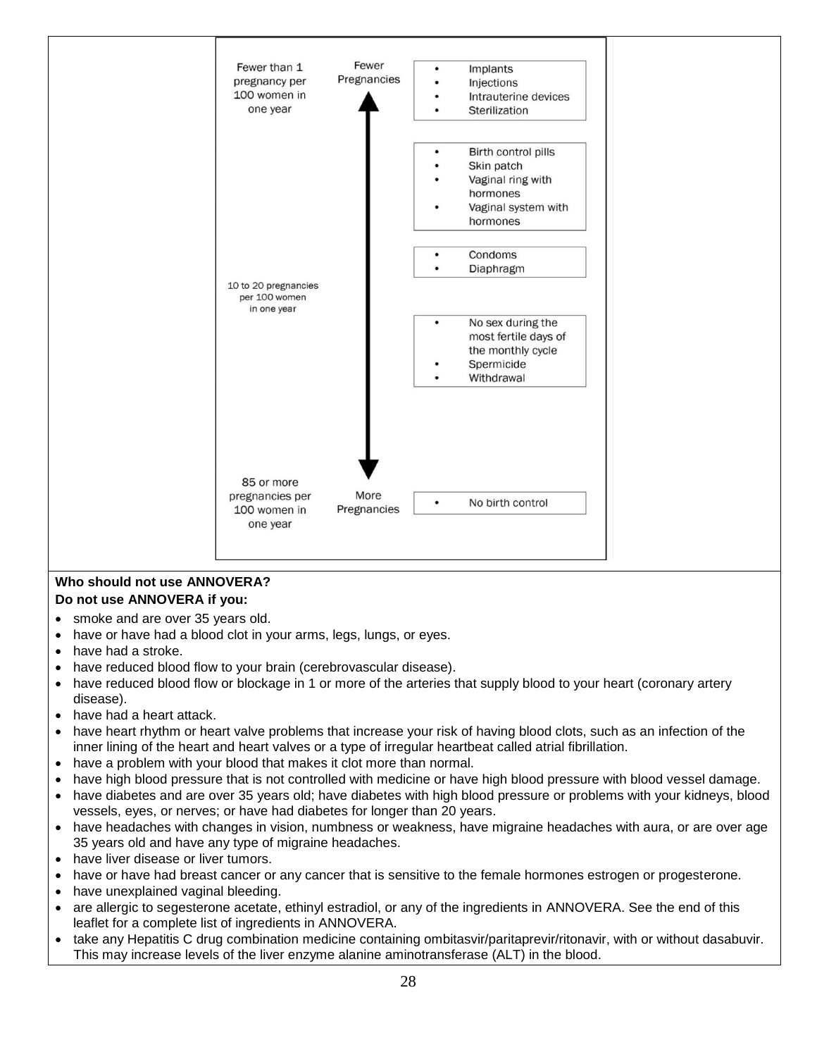

#### **Who should not use ANNOVERA? Do not use ANNOVERA if you:**

- smoke and are over 35 years old.
- have or have had a blood clot in your arms, legs, lungs, or eyes.
- have had a stroke.
- have reduced blood flow to your brain (cerebrovascular disease).
- have reduced blood flow or blockage in 1 or more of the arteries that supply blood to your heart (coronary artery disease).
- have had a heart attack.
- have heart rhythm or heart valve problems that increase your risk of having blood clots, such as an infection of the inner lining of the heart and heart valves or a type of irregular heartbeat called atrial fibrillation.
- have a problem with your blood that makes it clot more than normal.
- have high blood pressure that is not controlled with medicine or have high blood pressure with blood vessel damage.
- have diabetes and are over 35 years old; have diabetes with high blood pressure or problems with your kidneys, blood vessels, eyes, or nerves; or have had diabetes for longer than 20 years.
- have headaches with changes in vision, numbness or weakness, have migraine headaches with aura, or are over age 35 years old and have any type of migraine headaches.
- have liver disease or liver tumors.
- have or have had breast cancer or any cancer that is sensitive to the female hormones estrogen or progesterone.
- have unexplained vaginal bleeding.
- are allergic to segesterone acetate, ethinyl estradiol, or any of the ingredients in ANNOVERA. See the end of this leaflet for a complete list of ingredients in ANNOVERA.
- take any Hepatitis C drug combination medicine containing ombitasvir/paritaprevir/ritonavir, with or without dasabuvir. This may increase levels of the liver enzyme alanine aminotransferase (ALT) in the blood.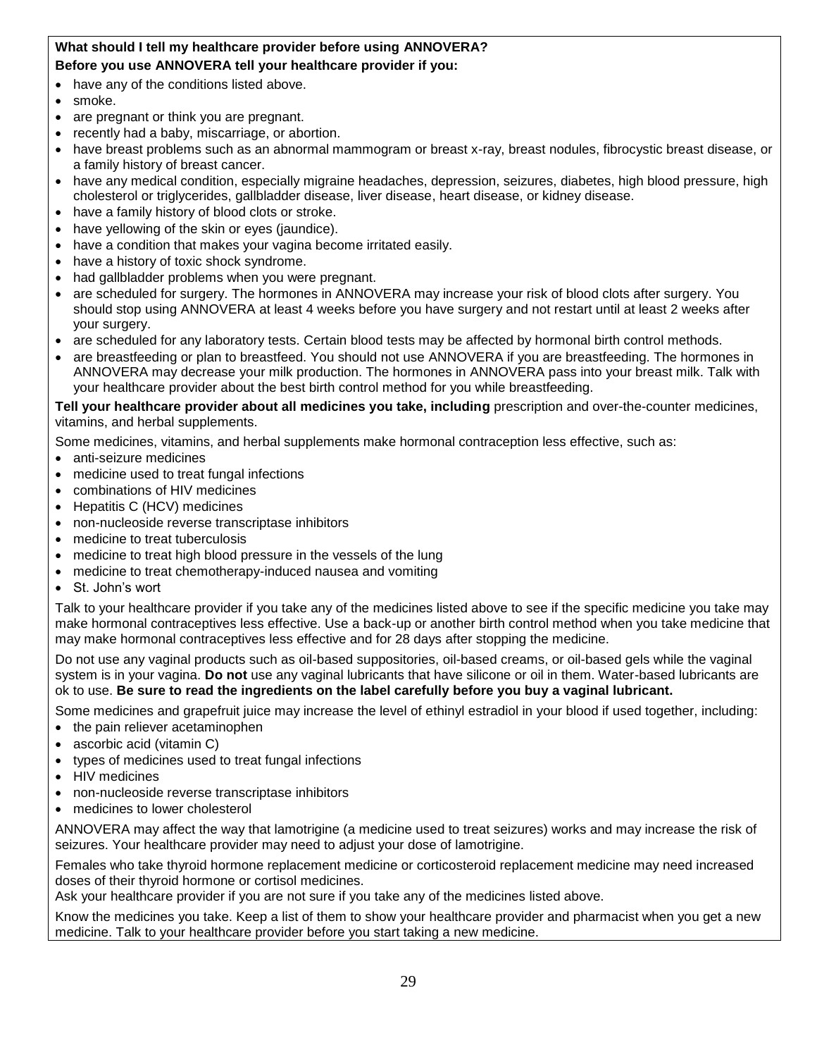#### **What should I tell my healthcare provider before using ANNOVERA? Before you use ANNOVERA tell your healthcare provider if you:**

- have any of the conditions listed above.
- smoke.
- are pregnant or think you are pregnant.
- recently had a baby, miscarriage, or abortion.
- have breast problems such as an abnormal mammogram or breast x-ray, breast nodules, fibrocystic breast disease, or a family history of breast cancer.
- have any medical condition, especially migraine headaches, depression, seizures, diabetes, high blood pressure, high cholesterol or triglycerides, gallbladder disease, liver disease, heart disease, or kidney disease.
- have a family history of blood clots or stroke.
- have yellowing of the skin or eyes (jaundice).
- have a condition that makes your vagina become irritated easily.
- have a history of toxic shock syndrome.
- had gallbladder problems when you were pregnant.
- are scheduled for surgery. The hormones in ANNOVERA may increase your risk of blood clots after surgery. You should stop using ANNOVERA at least 4 weeks before you have surgery and not restart until at least 2 weeks after your surgery.
- are scheduled for any laboratory tests. Certain blood tests may be affected by hormonal birth control methods.
- are breastfeeding or plan to breastfeed. You should not use ANNOVERA if you are breastfeeding. The hormones in ANNOVERA may decrease your milk production. The hormones in ANNOVERA pass into your breast milk. Talk with your healthcare provider about the best birth control method for you while breastfeeding.

**Tell your healthcare provider about all medicines you take, including** prescription and over-the-counter medicines, vitamins, and herbal supplements.

Some medicines, vitamins, and herbal supplements make hormonal contraception less effective, such as:

- anti-seizure medicines
- medicine used to treat fungal infections
- combinations of HIV medicines
- Hepatitis C (HCV) medicines
- non-nucleoside reverse transcriptase inhibitors
- medicine to treat tuberculosis
- medicine to treat high blood pressure in the vessels of the lung
- medicine to treat chemotherapy-induced nausea and vomiting
- St. John's wort

Talk to your healthcare provider if you take any of the medicines listed above to see if the specific medicine you take may make hormonal contraceptives less effective. Use a back-up or another birth control method when you take medicine that may make hormonal contraceptives less effective and for 28 days after stopping the medicine.

Do not use any vaginal products such as oil-based suppositories, oil-based creams, or oil-based gels while the vaginal system is in your vagina. **Do not** use any vaginal lubricants that have silicone or oil in them. Water-based lubricants are ok to use. **Be sure to read the ingredients on the label carefully before you buy a vaginal lubricant.**

Some medicines and grapefruit juice may increase the level of ethinyl estradiol in your blood if used together, including:

- the pain reliever acetaminophen
- ascorbic acid (vitamin C)
- types of medicines used to treat fungal infections
- HIV medicines
- non-nucleoside reverse transcriptase inhibitors
- medicines to lower cholesterol

ANNOVERA may affect the way that lamotrigine (a medicine used to treat seizures) works and may increase the risk of seizures. Your healthcare provider may need to adjust your dose of lamotrigine.

Females who take thyroid hormone replacement medicine or corticosteroid replacement medicine may need increased doses of their thyroid hormone or cortisol medicines.

Ask your healthcare provider if you are not sure if you take any of the medicines listed above.

Know the medicines you take. Keep a list of them to show your healthcare provider and pharmacist when you get a new medicine. Talk to your healthcare provider before you start taking a new medicine.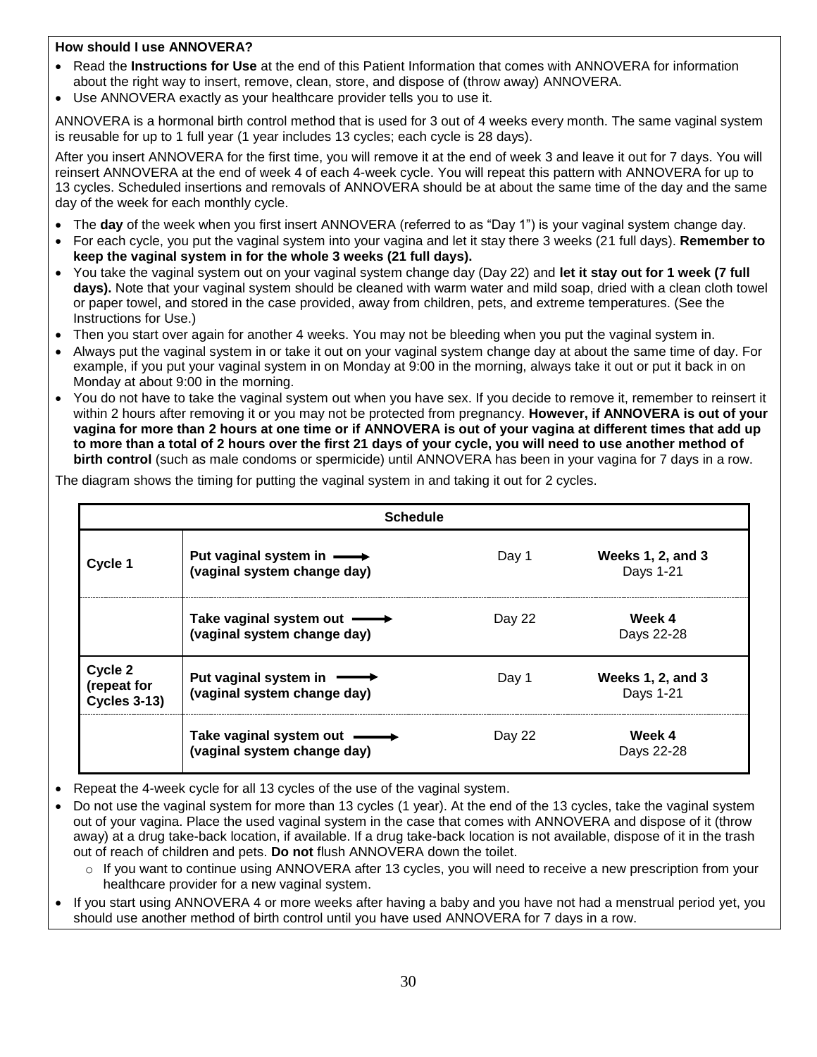#### **How should I use ANNOVERA?**

- Read the **Instructions for Use** at the end of this Patient Information that comes with ANNOVERA for information about the right way to insert, remove, clean, store, and dispose of (throw away) ANNOVERA.
- Use ANNOVERA exactly as your healthcare provider tells you to use it.

ANNOVERA is a hormonal birth control method that is used for 3 out of 4 weeks every month. The same vaginal system is reusable for up to 1 full year (1 year includes 13 cycles; each cycle is 28 days).

After you insert ANNOVERA for the first time, you will remove it at the end of week 3 and leave it out for 7 days. You will reinsert ANNOVERA at the end of week 4 of each 4-week cycle. You will repeat this pattern with ANNOVERA for up to 13 cycles. Scheduled insertions and removals of ANNOVERA should be at about the same time of the day and the same day of the week for each monthly cycle.

- The **day** of the week when you first insert ANNOVERA (referred to as "Day 1") is your vaginal system change day.
- For each cycle, you put the vaginal system into your vagina and let it stay there 3 weeks (21 full days). **Remember to keep the vaginal system in for the whole 3 weeks (21 full days).**
- You take the vaginal system out on your vaginal system change day (Day 22) and **let it stay out for 1 week (7 full days).** Note that your vaginal system should be cleaned with warm water and mild soap, dried with a clean cloth towel or paper towel, and stored in the case provided, away from children, pets, and extreme temperatures. (See the Instructions for Use.)
- Then you start over again for another 4 weeks. You may not be bleeding when you put the vaginal system in.
- Always put the vaginal system in or take it out on your vaginal system change day at about the same time of day. For example, if you put your vaginal system in on Monday at 9:00 in the morning, always take it out or put it back in on Monday at about 9:00 in the morning.
- You do not have to take the vaginal system out when you have sex. If you decide to remove it, remember to reinsert it within 2 hours after removing it or you may not be protected from pregnancy. **However, if ANNOVERA is out of your vagina for more than 2 hours at one time or if ANNOVERA is out of your vagina at different times that add up to more than a total of 2 hours over the first 21 days of your cycle, you will need to use another method of birth control** (such as male condoms or spermicide) until ANNOVERA has been in your vagina for 7 days in a row.

|                                               | <b>Schedule</b>                                                        |        |                                       |
|-----------------------------------------------|------------------------------------------------------------------------|--------|---------------------------------------|
| Cycle 1                                       | Put vaginal system in $\longrightarrow$<br>(vaginal system change day) | Day 1  | <b>Weeks 1, 2, and 3</b><br>Days 1-21 |
|                                               | Take vaginal system out -<br>(vaginal system change day)               | Day 22 | Week 4<br>Days 22-28                  |
| Cycle 2<br>(repeat for<br><b>Cycles 3-13)</b> | Put vaginal system in $\longrightarrow$<br>(vaginal system change day) | Day 1  | <b>Weeks 1, 2, and 3</b><br>Days 1-21 |
|                                               | Take vaginal system out -<br>(vaginal system change day)               | Day 22 | Week 4<br>Days 22-28                  |

The diagram shows the timing for putting the vaginal system in and taking it out for 2 cycles.

• Repeat the 4-week cycle for all 13 cycles of the use of the vaginal system.

• Do not use the vaginal system for more than 13 cycles (1 year). At the end of the 13 cycles, take the vaginal system out of your vagina. Place the used vaginal system in the case that comes with ANNOVERA and dispose of it (throw away) at a drug take-back location, if available. If a drug take-back location is not available, dispose of it in the trash out of reach of children and pets. **Do not** flush ANNOVERA down the toilet.

- o If you want to continue using ANNOVERA after 13 cycles, you will need to receive a new prescription from your healthcare provider for a new vaginal system.
- If you start using ANNOVERA 4 or more weeks after having a baby and you have not had a menstrual period yet, you should use another method of birth control until you have used ANNOVERA for 7 days in a row.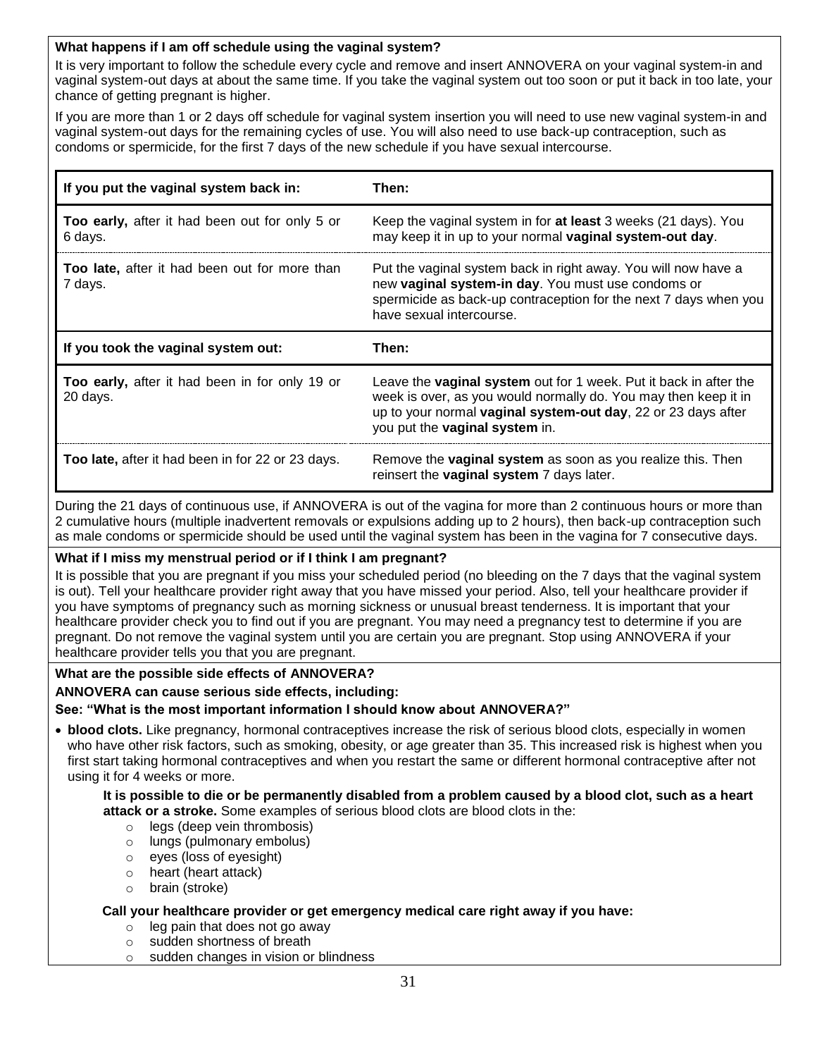#### **What happens if I am off schedule using the vaginal system?**

It is very important to follow the schedule every cycle and remove and insert ANNOVERA on your vaginal system-in and vaginal system-out days at about the same time. If you take the vaginal system out too soon or put it back in too late, your chance of getting pregnant is higher.

If you are more than 1 or 2 days off schedule for vaginal system insertion you will need to use new vaginal system-in and vaginal system-out days for the remaining cycles of use. You will also need to use back-up contraception, such as condoms or spermicide, for the first 7 days of the new schedule if you have sexual intercourse.

| If you put the vaginal system back in:                           | Then:                                                                                                                                                                                                                                   |
|------------------------------------------------------------------|-----------------------------------------------------------------------------------------------------------------------------------------------------------------------------------------------------------------------------------------|
| <b>Too early, after it had been out for only 5 or</b><br>6 days. | Keep the vaginal system in for at least 3 weeks (21 days). You<br>may keep it in up to your normal vaginal system-out day.                                                                                                              |
| Too late, after it had been out for more than<br>7 days.         | Put the vaginal system back in right away. You will now have a<br>new vaginal system-in day. You must use condoms or<br>spermicide as back-up contraception for the next 7 days when you<br>have sexual intercourse.                    |
|                                                                  |                                                                                                                                                                                                                                         |
| If you took the vaginal system out:                              | Then:                                                                                                                                                                                                                                   |
| Too early, after it had been in for only 19 or<br>20 days.       | Leave the vaginal system out for 1 week. Put it back in after the<br>week is over, as you would normally do. You may then keep it in<br>up to your normal vaginal system-out day, 22 or 23 days after<br>you put the vaginal system in. |

During the 21 days of continuous use, if ANNOVERA is out of the vagina for more than 2 continuous hours or more than 2 cumulative hours (multiple inadvertent removals or expulsions adding up to 2 hours), then back-up contraception such as male condoms or spermicide should be used until the vaginal system has been in the vagina for 7 consecutive days.

#### **What if I miss my menstrual period or if I think I am pregnant?**

It is possible that you are pregnant if you miss your scheduled period (no bleeding on the 7 days that the vaginal system is out). Tell your healthcare provider right away that you have missed your period. Also, tell your healthcare provider if you have symptoms of pregnancy such as morning sickness or unusual breast tenderness. It is important that your healthcare provider check you to find out if you are pregnant. You may need a pregnancy test to determine if you are pregnant. Do not remove the vaginal system until you are certain you are pregnant. Stop using ANNOVERA if your healthcare provider tells you that you are pregnant.

#### **What are the possible side effects of ANNOVERA?**

#### **ANNOVERA can cause serious side effects, including:**

**See: "What is the most important information I should know about ANNOVERA?"**

• **blood clots.** Like pregnancy, hormonal contraceptives increase the risk of serious blood clots, especially in women who have other risk factors, such as smoking, obesity, or age greater than 35. This increased risk is highest when you first start taking hormonal contraceptives and when you restart the same or different hormonal contraceptive after not using it for 4 weeks or more.

**It is possible to die or be permanently disabled from a problem caused by a blood clot, such as a heart attack or a stroke.** Some examples of serious blood clots are blood clots in the:

- o legs (deep vein thrombosis)
- o lungs (pulmonary embolus)
- o eyes (loss of eyesight)
- o heart (heart attack)
- o brain (stroke)

#### **Call your healthcare provider or get emergency medical care right away if you have:**

- $\circ$  leg pain that does not go away
- o sudden shortness of breath
- sudden changes in vision or blindness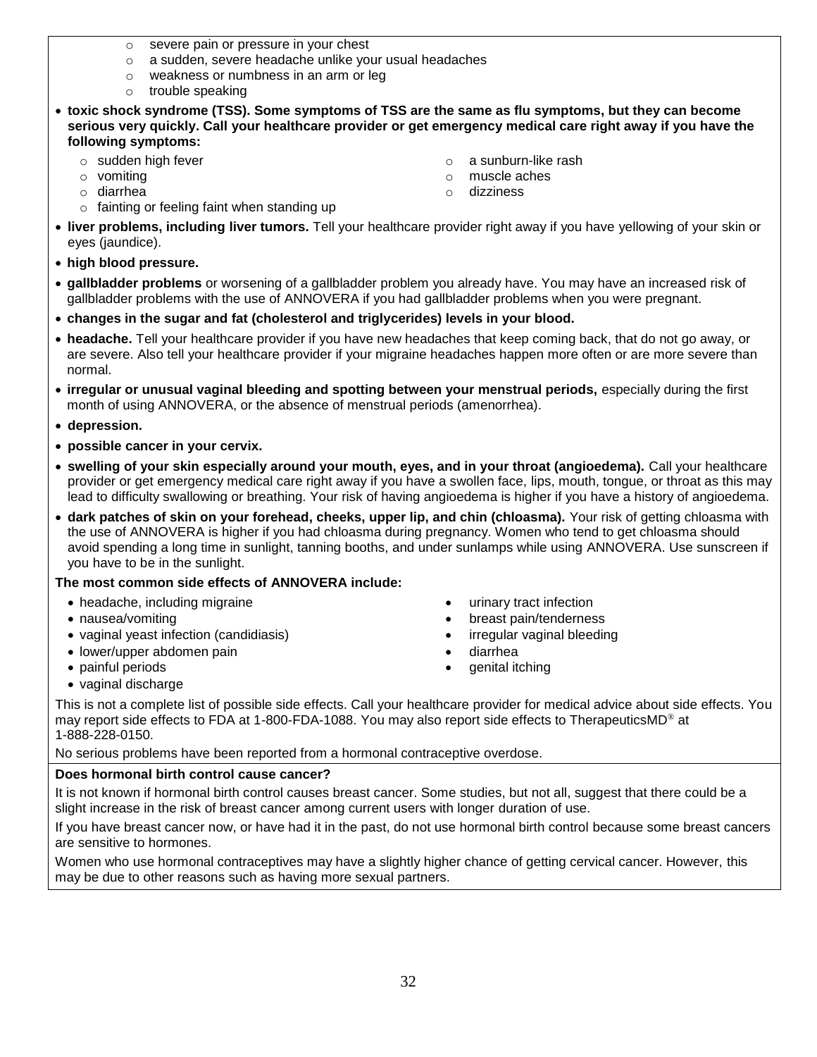- o severe pain or pressure in your chest
- o a sudden, severe headache unlike your usual headaches
- o weakness or numbness in an arm or leg
- o trouble speaking
- **toxic shock syndrome (TSS). Some symptoms of TSS are the same as flu symptoms, but they can become serious very quickly. Call your healthcare provider or get emergency medical care right away if you have the following symptoms:**
	- o sudden high fever
	- o vomiting
	- o diarrhea
	- o fainting or feeling faint when standing up
- o a sunburn-like rash
- o muscle aches
- o dizziness
- **liver problems, including liver tumors.** Tell your healthcare provider right away if you have yellowing of your skin or eyes (jaundice).
- **high blood pressure.**
- **gallbladder problems** or worsening of a gallbladder problem you already have. You may have an increased risk of gallbladder problems with the use of ANNOVERA if you had gallbladder problems when you were pregnant.
- **changes in the sugar and fat (cholesterol and triglycerides) levels in your blood.**
- **headache.** Tell your healthcare provider if you have new headaches that keep coming back, that do not go away, or are severe. Also tell your healthcare provider if your migraine headaches happen more often or are more severe than normal.
- **irregular or unusual vaginal bleeding and spotting between your menstrual periods,** especially during the first month of using ANNOVERA, or the absence of menstrual periods (amenorrhea).
- **depression.**
- **possible cancer in your cervix.**
- **swelling of your skin especially around your mouth, eyes, and in your throat (angioedema).** Call your healthcare provider or get emergency medical care right away if you have a swollen face, lips, mouth, tongue, or throat as this may lead to difficulty swallowing or breathing. Your risk of having angioedema is higher if you have a history of angioedema.
- **dark patches of skin on your forehead, cheeks, upper lip, and chin (chloasma).** Your risk of getting chloasma with the use of ANNOVERA is higher if you had chloasma during pregnancy. Women who tend to get chloasma should avoid spending a long time in sunlight, tanning booths, and under sunlamps while using ANNOVERA. Use sunscreen if you have to be in the sunlight.

#### **The most common side effects of ANNOVERA include:**

- headache, including migraine
- nausea/vomiting
- vaginal yeast infection (candidiasis)
- lower/upper abdomen pain
- painful periods
- vaginal discharge
- urinary tract infection
- breast pain/tenderness
- irregular vaginal bleeding
- diarrhea
- genital itching

This is not a complete list of possible side effects. Call your healthcare provider for medical advice about side effects. You may report side effects to FDA at 1-800-FDA-1088. You may also report side effects to TherapeuticsMD® at 1-888-228-0150.

No serious problems have been reported from a hormonal contraceptive overdose.

### **Does hormonal birth control cause cancer?**

It is not known if hormonal birth control causes breast cancer. Some studies, but not all, suggest that there could be a slight increase in the risk of breast cancer among current users with longer duration of use.

If you have breast cancer now, or have had it in the past, do not use hormonal birth control because some breast cancers are sensitive to hormones.

Women who use hormonal contraceptives may have a slightly higher chance of getting cervical cancer. However, this may be due to other reasons such as having more sexual partners.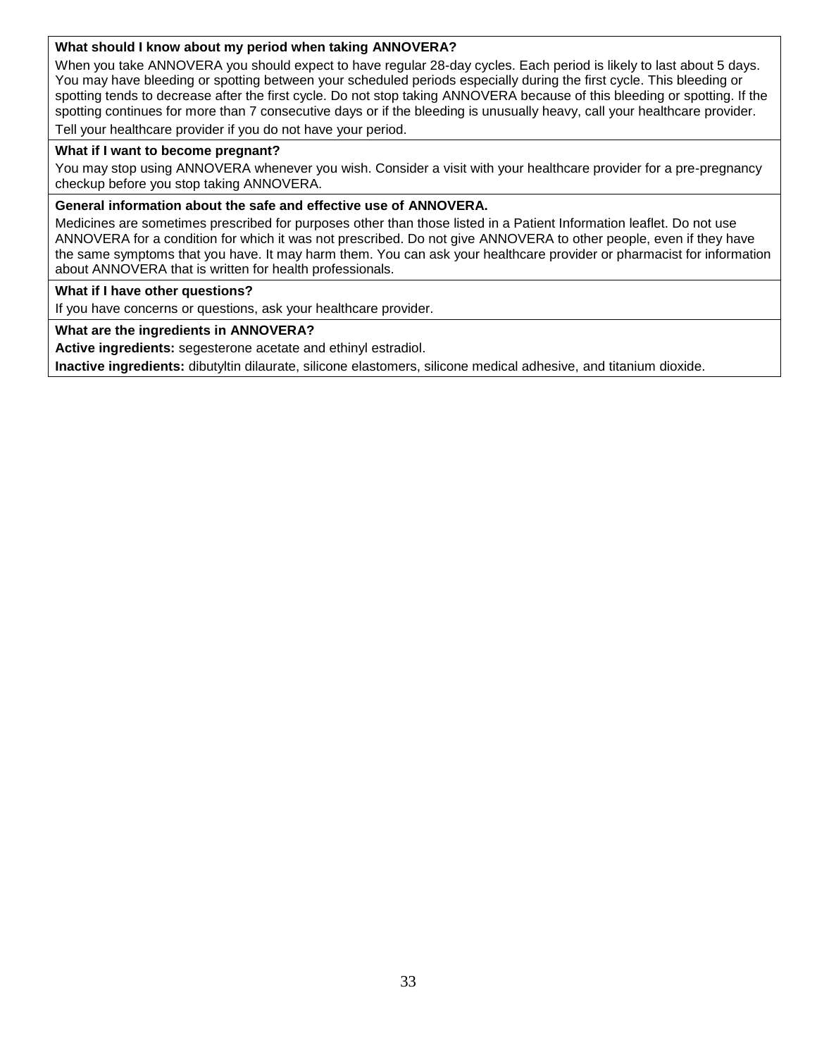#### **What should I know about my period when taking ANNOVERA?**

When you take ANNOVERA you should expect to have regular 28-day cycles. Each period is likely to last about 5 days. You may have bleeding or spotting between your scheduled periods especially during the first cycle. This bleeding or spotting tends to decrease after the first cycle. Do not stop taking ANNOVERA because of this bleeding or spotting. If the spotting continues for more than 7 consecutive days or if the bleeding is unusually heavy, call your healthcare provider. Tell your healthcare provider if you do not have your period.

#### **What if I want to become pregnant?**

You may stop using ANNOVERA whenever you wish. Consider a visit with your healthcare provider for a pre-pregnancy checkup before you stop taking ANNOVERA.

#### **General information about the safe and effective use of ANNOVERA.**

Medicines are sometimes prescribed for purposes other than those listed in a Patient Information leaflet. Do not use ANNOVERA for a condition for which it was not prescribed. Do not give ANNOVERA to other people, even if they have the same symptoms that you have. It may harm them. You can ask your healthcare provider or pharmacist for information about ANNOVERA that is written for health professionals.

#### **What if I have other questions?**

If you have concerns or questions, ask your healthcare provider.

#### **What are the ingredients in ANNOVERA?**

**Active ingredients:** segesterone acetate and ethinyl estradiol.

**Inactive ingredients:** dibutyltin dilaurate, silicone elastomers, silicone medical adhesive, and titanium dioxide.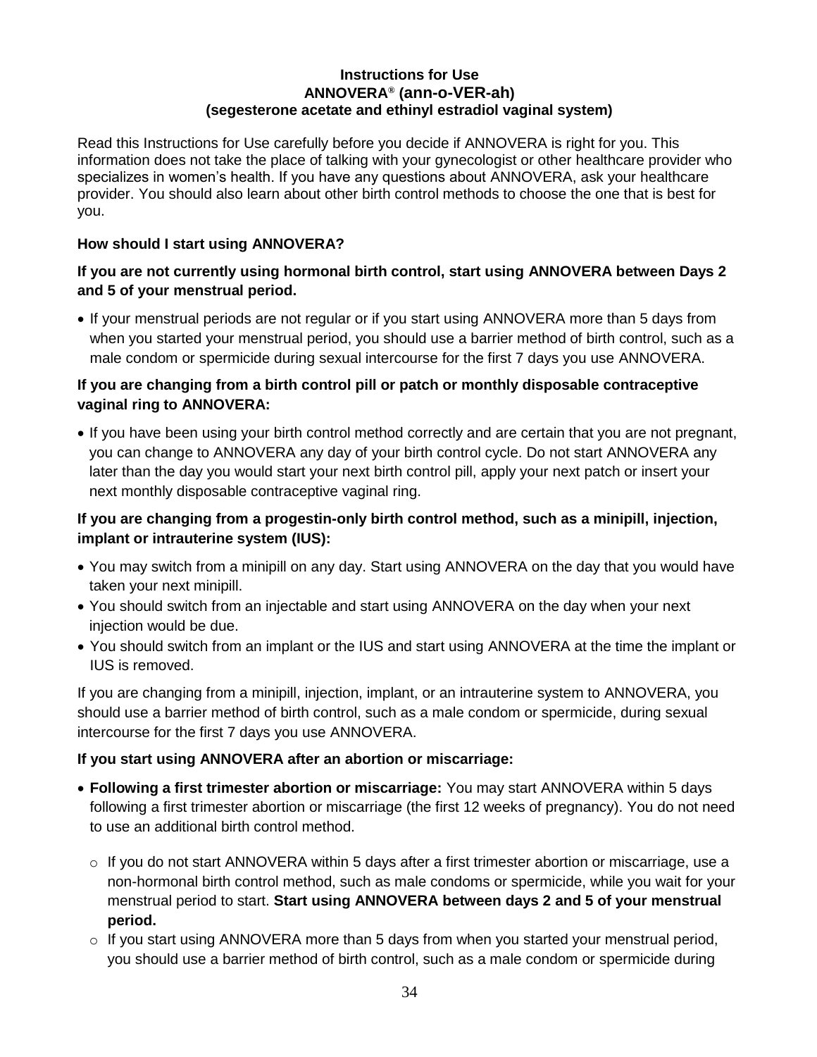#### **Instructions for Use ANNOVERA® (ann-o-VER-ah) (segesterone acetate and ethinyl estradiol vaginal system)**

Read this Instructions for Use carefully before you decide if ANNOVERA is right for you. This information does not take the place of talking with your gynecologist or other healthcare provider who specializes in women's health. If you have any questions about ANNOVERA, ask your healthcare provider. You should also learn about other birth control methods to choose the one that is best for you.

#### **How should I start using ANNOVERA?**

#### **If you are not currently using hormonal birth control, start using ANNOVERA between Days 2 and 5 of your menstrual period.**

• If your menstrual periods are not regular or if you start using ANNOVERA more than 5 days from when you started your menstrual period, you should use a barrier method of birth control, such as a male condom or spermicide during sexual intercourse for the first 7 days you use ANNOVERA.

#### **If you are changing from a birth control pill or patch or monthly disposable contraceptive vaginal ring to ANNOVERA:**

• If you have been using your birth control method correctly and are certain that you are not pregnant, you can change to ANNOVERA any day of your birth control cycle. Do not start ANNOVERA any later than the day you would start your next birth control pill, apply your next patch or insert your next monthly disposable contraceptive vaginal ring.

#### **If you are changing from a progestin-only birth control method, such as a minipill, injection, implant or intrauterine system (IUS):**

- You may switch from a minipill on any day. Start using ANNOVERA on the day that you would have taken your next minipill.
- You should switch from an injectable and start using ANNOVERA on the day when your next injection would be due.
- You should switch from an implant or the IUS and start using ANNOVERA at the time the implant or IUS is removed.

If you are changing from a minipill, injection, implant, or an intrauterine system to ANNOVERA, you should use a barrier method of birth control, such as a male condom or spermicide, during sexual intercourse for the first 7 days you use ANNOVERA.

#### **If you start using ANNOVERA after an abortion or miscarriage:**

- **Following a first trimester abortion or miscarriage:** You may start ANNOVERA within 5 days following a first trimester abortion or miscarriage (the first 12 weeks of pregnancy). You do not need to use an additional birth control method.
	- $\circ$  If you do not start ANNOVERA within 5 days after a first trimester abortion or miscarriage, use a non-hormonal birth control method, such as male condoms or spermicide, while you wait for your menstrual period to start. **Start using ANNOVERA between days 2 and 5 of your menstrual period.**
	- $\circ$  If you start using ANNOVERA more than 5 days from when you started your menstrual period, you should use a barrier method of birth control, such as a male condom or spermicide during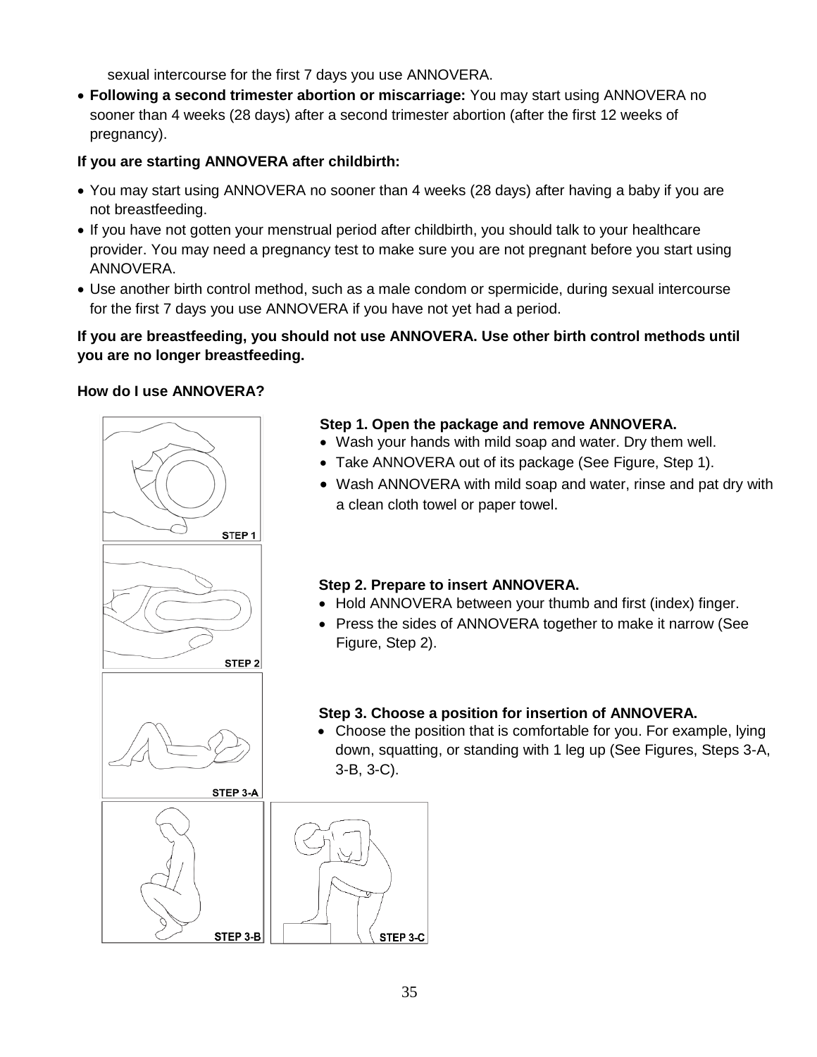sexual intercourse for the first 7 days you use ANNOVERA.

• **Following a second trimester abortion or miscarriage:** You may start using ANNOVERA no sooner than 4 weeks (28 days) after a second trimester abortion (after the first 12 weeks of pregnancy).

### **If you are starting ANNOVERA after childbirth:**

- You may start using ANNOVERA no sooner than 4 weeks (28 days) after having a baby if you are not breastfeeding.
- If you have not gotten your menstrual period after childbirth, you should talk to your healthcare provider. You may need a pregnancy test to make sure you are not pregnant before you start using ANNOVERA.
- Use another birth control method, such as a male condom or spermicide, during sexual intercourse for the first 7 days you use ANNOVERA if you have not yet had a period.

#### **If you are breastfeeding, you should not use ANNOVERA. Use other birth control methods until you are no longer breastfeeding.**

#### **How do I use ANNOVERA?**



### **Step 1. Open the package and remove ANNOVERA.**

- Wash your hands with mild soap and water. Dry them well.
- Take ANNOVERA out of its package (See Figure, Step 1).
- Wash ANNOVERA with mild soap and water, rinse and pat dry with a clean cloth towel or paper towel.

#### **Step 2. Prepare to insert ANNOVERA.**

- Hold ANNOVERA between your thumb and first (index) finger.
- Press the sides of ANNOVERA together to make it narrow (See Figure, Step 2).

### **Step 3. Choose a position for insertion of ANNOVERA.**

• Choose the position that is comfortable for you. For example, lying down, squatting, or standing with 1 leg up (See Figures, Steps 3-A, 3-B, 3-C).

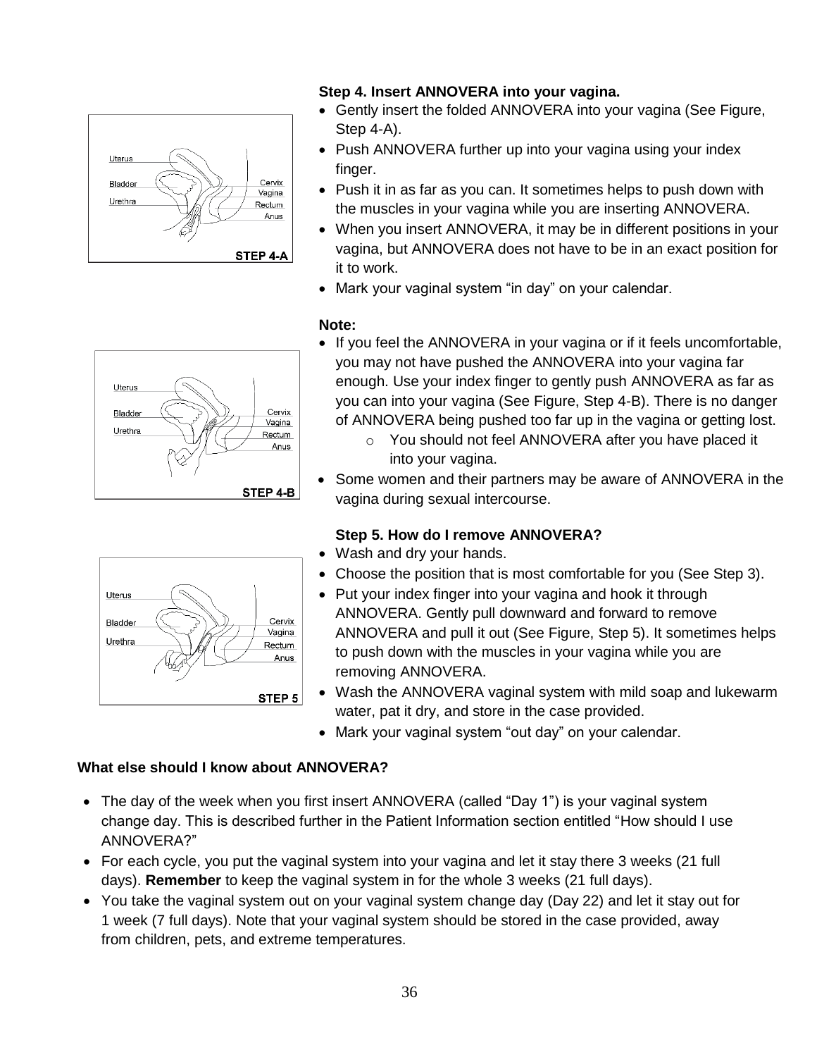

### **Step 4. Insert ANNOVERA into your vagina.**

- Gently insert the folded ANNOVERA into your vagina (See Figure, Step 4-A).
- Push ANNOVERA further up into your vagina using your index finger.
- Push it in as far as you can. It sometimes helps to push down with the muscles in your vagina while you are inserting ANNOVERA.
- When you insert ANNOVERA, it may be in different positions in your vagina, but ANNOVERA does not have to be in an exact position for it to work.
- Mark your vaginal system "in day" on your calendar.

#### **Note:**



Uterus Cervix Bladder Vagina Urethra Rectum Anus STEP 5

- If you feel the ANNOVERA in your vagina or if it feels uncomfortable, you may not have pushed the ANNOVERA into your vagina far enough. Use your index finger to gently push ANNOVERA as far as you can into your vagina (See Figure, Step 4-B). There is no danger of ANNOVERA being pushed too far up in the vagina or getting lost.
	- o You should not feel ANNOVERA after you have placed it into your vagina.
- Some women and their partners may be aware of ANNOVERA in the vagina during sexual intercourse.

### **Step 5. How do I remove ANNOVERA?**

- Wash and dry your hands.
- Choose the position that is most comfortable for you (See Step 3).
- Put your index finger into your vagina and hook it through ANNOVERA. Gently pull downward and forward to remove ANNOVERA and pull it out (See Figure, Step 5). It sometimes helps to push down with the muscles in your vagina while you are removing ANNOVERA.
- Wash the ANNOVERA vaginal system with mild soap and lukewarm water, pat it dry, and store in the case provided.
- Mark your vaginal system "out day" on your calendar.

#### **What else should I know about ANNOVERA?**

- The day of the week when you first insert ANNOVERA (called "Day 1") is your vaginal system change day. This is described further in the Patient Information section entitled "How should I use ANNOVERA?"
- For each cycle, you put the vaginal system into your vagina and let it stay there 3 weeks (21 full days). **Remember** to keep the vaginal system in for the whole 3 weeks (21 full days).
- You take the vaginal system out on your vaginal system change day (Day 22) and let it stay out for 1 week (7 full days). Note that your vaginal system should be stored in the case provided, away from children, pets, and extreme temperatures.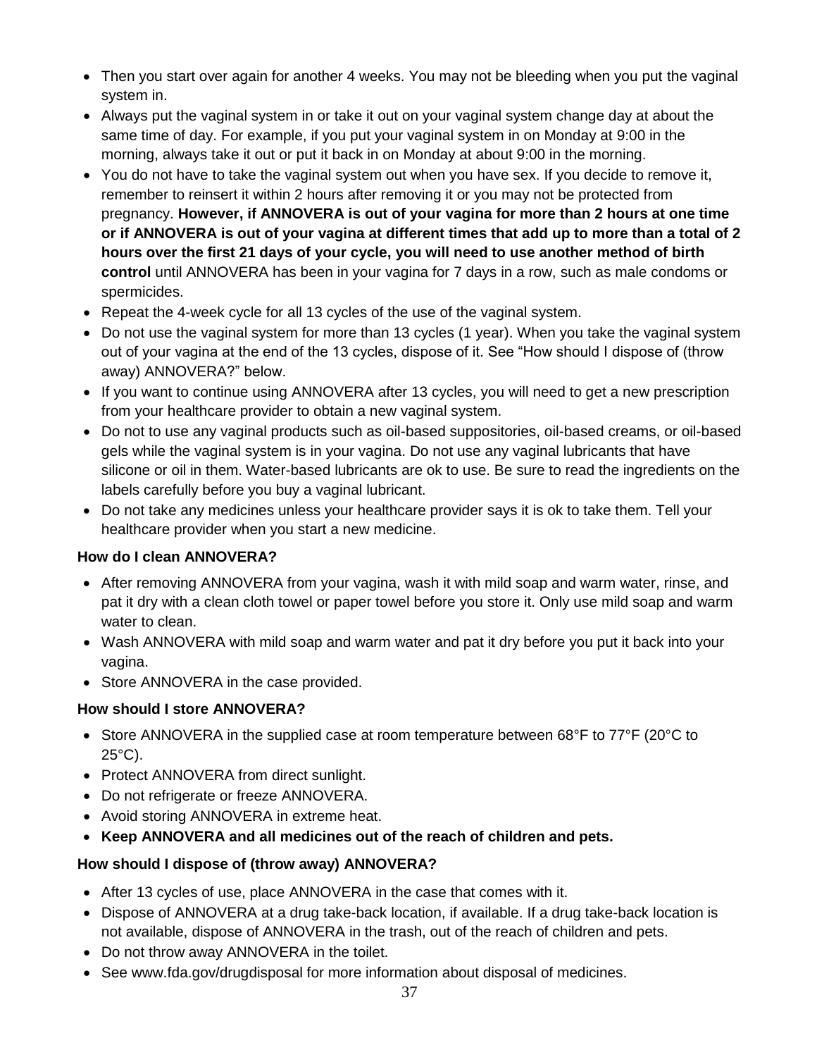- Then you start over again for another 4 weeks. You may not be bleeding when you put the vaginal system in.
- Always put the vaginal system in or take it out on your vaginal system change day at about the same time of day. For example, if you put your vaginal system in on Monday at 9:00 in the morning, always take it out or put it back in on Monday at about 9:00 in the morning.
- You do not have to take the vaginal system out when you have sex. If you decide to remove it, remember to reinsert it within 2 hours after removing it or you may not be protected from pregnancy. **However, if ANNOVERA is out of your vagina for more than 2 hours at one time or if ANNOVERA is out of your vagina at different times that add up to more than a total of 2 hours over the first 21 days of your cycle, you will need to use another method of birth control** until ANNOVERA has been in your vagina for 7 days in a row, such as male condoms or spermicides.
- Repeat the 4-week cycle for all 13 cycles of the use of the vaginal system.
- Do not use the vaginal system for more than 13 cycles (1 year). When you take the vaginal system out of your vagina at the end of the 13 cycles, dispose of it. See "How should I dispose of (throw away) ANNOVERA?" below.
- If you want to continue using ANNOVERA after 13 cycles, you will need to get a new prescription from your healthcare provider to obtain a new vaginal system.
- Do not to use any vaginal products such as oil-based suppositories, oil-based creams, or oil-based gels while the vaginal system is in your vagina. Do not use any vaginal lubricants that have silicone or oil in them. Water-based lubricants are ok to use. Be sure to read the ingredients on the labels carefully before you buy a vaginal lubricant.
- Do not take any medicines unless your healthcare provider says it is ok to take them. Tell your healthcare provider when you start a new medicine.

#### **How do I clean ANNOVERA?**

- After removing ANNOVERA from your vagina, wash it with mild soap and warm water, rinse, and pat it dry with a clean cloth towel or paper towel before you store it. Only use mild soap and warm water to clean.
- Wash ANNOVERA with mild soap and warm water and pat it dry before you put it back into your vagina.
- Store ANNOVERA in the case provided.

### **How should I store ANNOVERA?**

- Store ANNOVERA in the supplied case at room temperature between 68°F to 77°F (20°C to  $25^{\circ}$ C).
- Protect ANNOVERA from direct sunlight.
- Do not refrigerate or freeze ANNOVERA.
- Avoid storing ANNOVERA in extreme heat.
- **Keep ANNOVERA and all medicines out of the reach of children and pets.**

#### **How should I dispose of (throw away) ANNOVERA?**

- After 13 cycles of use, place ANNOVERA in the case that comes with it.
- Dispose of ANNOVERA at a drug take-back location, if available. If a drug take-back location is not available, dispose of ANNOVERA in the trash, out of the reach of children and pets.
- Do not throw away ANNOVERA in the toilet.
- See www.fda.gov/drugdisposal for more information about disposal of medicines.